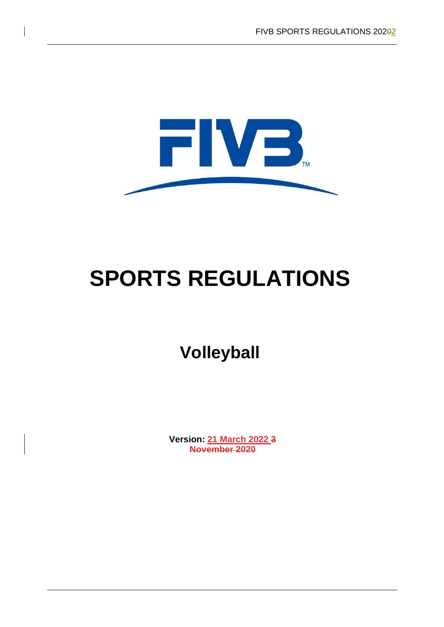

# **SPORTS REGULATIONS**

## **Volleyball**

**Version: 21 March 2022 3 November 2020**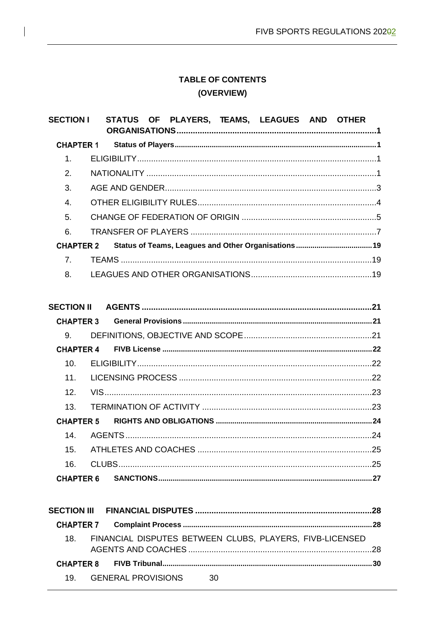## **TABLE OF CONTENTS** (OVERVIEW)

| <b>SECTION I</b>  | STATUS OF PLAYERS, TEAMS, LEAGUES AND OTHER |  |
|-------------------|---------------------------------------------|--|
| <b>CHAPTER 1</b>  |                                             |  |
| $1_{-}$           |                                             |  |
| 2.                |                                             |  |
| 3.                |                                             |  |
| 4.                |                                             |  |
| 5.                |                                             |  |
| 6.                |                                             |  |
| <b>CHAPTER 2</b>  |                                             |  |
| 7 <sub>1</sub>    |                                             |  |
| 8.                |                                             |  |
|                   |                                             |  |
| <b>SECTION II</b> |                                             |  |
| <b>CHAPTER 3</b>  |                                             |  |
| 9.                |                                             |  |
| <b>CHAPTER 4</b>  |                                             |  |
| 10.               |                                             |  |
| 11.               |                                             |  |
| 12.               |                                             |  |
| 13.               |                                             |  |
|                   |                                             |  |
| 14.               |                                             |  |
| 15.               |                                             |  |
| 16.               |                                             |  |
|                   |                                             |  |

|                           | 18. FINANCIAL DISPUTES BETWEEN CLUBS, PLAYERS, FIVB-LICENSED |  |
|---------------------------|--------------------------------------------------------------|--|
|                           |                                                              |  |
| 19. GENERAL PROVISIONS 30 |                                                              |  |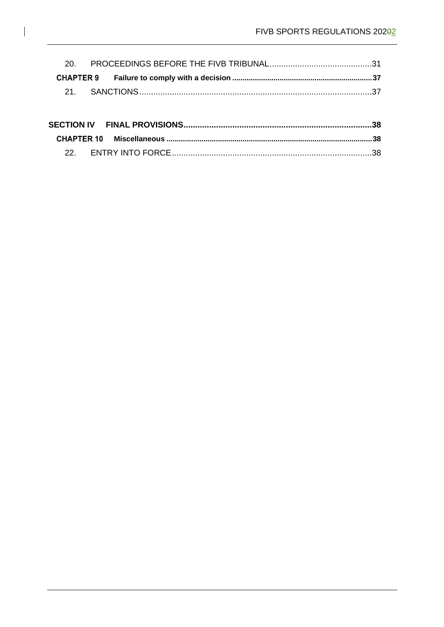$\overline{\phantom{a}}$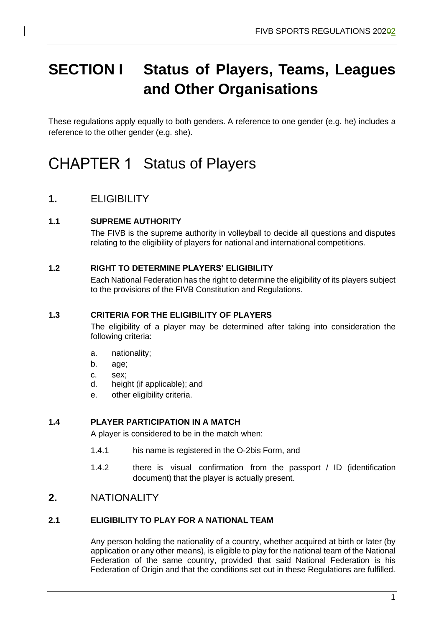## <span id="page-3-0"></span>**SECTION I Status of Players, Teams, Leagues and Other Organisations**

These regulations apply equally to both genders. A reference to one gender (e.g. he) includes a reference to the other gender (e.g. she).

## <span id="page-3-1"></span>CHAPTER 1 Status of Players

## <span id="page-3-2"></span>**1.** ELIGIBILITY

#### **1.1 SUPREME AUTHORITY**

The FIVB is the supreme authority in volleyball to decide all questions and disputes relating to the eligibility of players for national and international competitions.

#### **1.2 RIGHT TO DETERMINE PLAYERS' ELIGIBILITY**

Each National Federation has the right to determine the eligibility of its players subject to the provisions of the FIVB Constitution and Regulations.

#### **1.3 CRITERIA FOR THE ELIGIBILITY OF PLAYERS**

The eligibility of a player may be determined after taking into consideration the following criteria:

- a. nationality;
- b. age;
- c. sex;
- d. height (if applicable); and
- e. other eligibility criteria.

#### **1.4 PLAYER PARTICIPATION IN A MATCH**

A player is considered to be in the match when:

- 1.4.1 his name is registered in the O-2bis Form, and
- 1.4.2 there is visual confirmation from the passport / ID (identification document) that the player is actually present.

### <span id="page-3-3"></span>**2.** NATIONALITY

#### **2.1 ELIGIBILITY TO PLAY FOR A NATIONAL TEAM**

Any person holding the nationality of a country, whether acquired at birth or later (by application or any other means), is eligible to play for the national team of the National Federation of the same country, provided that said National Federation is his Federation of Origin and that the conditions set out in these Regulations are fulfilled.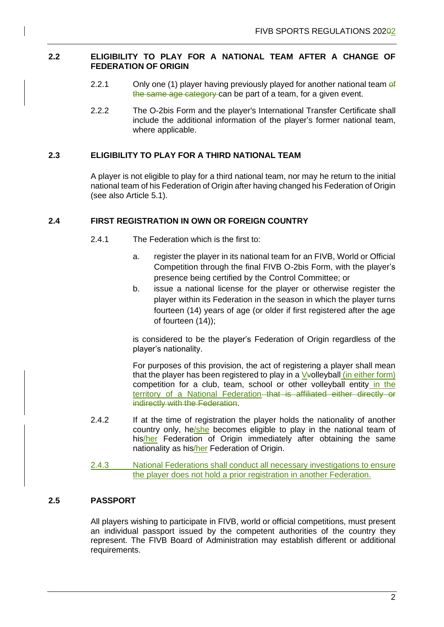#### **2.2 ELIGIBILITY TO PLAY FOR A NATIONAL TEAM AFTER A CHANGE OF FEDERATION OF ORIGIN**

- 2.2.1 Only one (1) player having previously played for another national team  $\frac{d}{dx}$ the same age category can be part of a team, for a given event.
- 2.2.2 The O-2bis Form and the player's International Transfer Certificate shall include the additional information of the player's former national team, where applicable.

#### **2.3 ELIGIBILITY TO PLAY FOR A THIRD NATIONAL TEAM**

A player is not eligible to play for a third national team, nor may he return to the initial national team of his Federation of Origin after having changed his Federation of Origin (see also Article 5.1).

#### **2.4 FIRST REGISTRATION IN OWN OR FOREIGN COUNTRY**

- 2.4.1 The Federation which is the first to:
	- a. register the player in its national team for an FIVB, World or Official Competition through the final FIVB O-2bis Form, with the player's presence being certified by the Control Committee; or
	- b. issue a national license for the player or otherwise register the player within its Federation in the season in which the player turns fourteen (14) years of age (or older if first registered after the age of fourteen (14));

is considered to be the player's Federation of Origin regardless of the player's nationality.

For purposes of this provision, the act of registering a player shall mean that the player has been registered to play in a  $V$ volleyball *(in either form)* competition for a club, team, school or other volleyball entity in the territory of a National Federation that is affiliated either directly or indirectly with the Federation.

- 2.4.2 If at the time of registration the player holds the nationality of another country only, he/she becomes eligible to play in the national team of his/her Federation of Origin immediately after obtaining the same nationality as his/her Federation of Origin.
- 2.4.3 National Federations shall conduct all necessary investigations to ensure the player does not hold a prior registration in another Federation.

#### **2.5 PASSPORT**

All players wishing to participate in FIVB, world or official competitions, must present an individual passport issued by the competent authorities of the country they represent. The FIVB Board of Administration may establish different or additional requirements.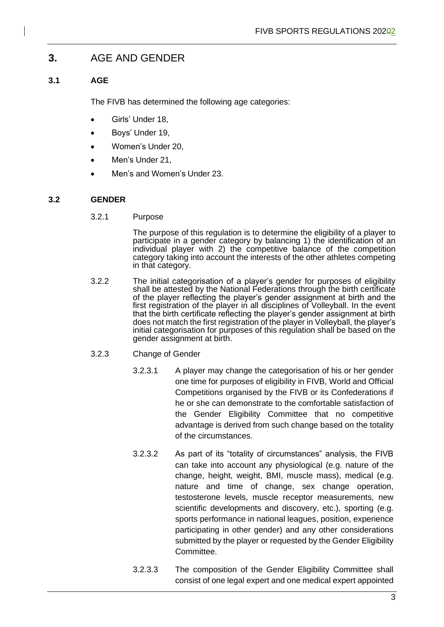## <span id="page-5-0"></span>**3.** AGE AND GENDER

#### **3.1 AGE**

The FIVB has determined the following age categories:

- Girls' Under 18,
- Boys' Under 19,
- Women's Under 20,
- Men's Under 21,
- Men's and Women's Under 23.

#### **3.2 GENDER**

3.2.1 Purpose

The purpose of this regulation is to determine the eligibility of a player to participate in a gender category by balancing 1) the identification of an individual player with 2) the competitive balance of the competition category taking into account the interests of the other athletes competing in that category.

- 3.2.2 The initial categorisation of a player's gender for purposes of eligibility shall be attested by the National Federations through the birth certificate of the player reflecting the player's gender assignment at birth and the first registration of the player in all disciplines of Volleyball. In the event that the birth certificate reflecting the player's gender assignment at birth does not match the first registration of the player in Volleyball, the player's initial categorisation for purposes of this regulation shall be based on the gender assignment at birth.
- 3.2.3 Change of Gender
	- 3.2.3.1 A player may change the categorisation of his or her gender one time for purposes of eligibility in FIVB, World and Official Competitions organised by the FIVB or its Confederations if he or she can demonstrate to the comfortable satisfaction of the Gender Eligibility Committee that no competitive advantage is derived from such change based on the totality of the circumstances.
	- 3.2.3.2 As part of its "totality of circumstances" analysis, the FIVB can take into account any physiological (e.g. nature of the change, height, weight, BMI, muscle mass), medical (e.g. nature and time of change, sex change operation, testosterone levels, muscle receptor measurements, new scientific developments and discovery, etc.), sporting (e.g. sports performance in national leagues, position, experience participating in other gender) and any other considerations submitted by the player or requested by the Gender Eligibility Committee.
	- 3.2.3.3 The composition of the Gender Eligibility Committee shall consist of one legal expert and one medical expert appointed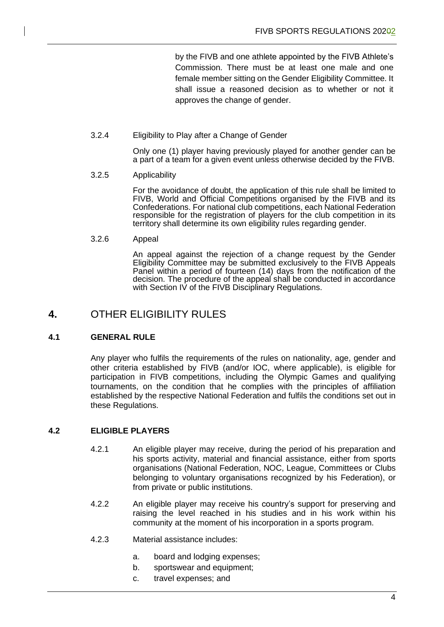by the FIVB and one athlete appointed by the FIVB Athlete's Commission. There must be at least one male and one female member sitting on the Gender Eligibility Committee. It shall issue a reasoned decision as to whether or not it approves the change of gender.

3.2.4 Eligibility to Play after a Change of Gender

Only one (1) player having previously played for another gender can be a part of a team for a given event unless otherwise decided by the FIVB.

3.2.5 Applicability

For the avoidance of doubt, the application of this rule shall be limited to FIVB, World and Official Competitions organised by the FIVB and its Confederations. For national club competitions, each National Federation responsible for the registration of players for the club competition in its territory shall determine its own eligibility rules regarding gender.

3.2.6 Appeal

An appeal against the rejection of a change request by the Gender Eligibility Committee may be submitted exclusively to the FIVB Appeals Panel within a period of fourteen (14) days from the notification of the decision. The procedure of the appeal shall be conducted in accordance with Section IV of the FIVB Disciplinary Regulations.

## <span id="page-6-0"></span>**4.** OTHER ELIGIBILITY RULES

#### **4.1 GENERAL RULE**

Any player who fulfils the requirements of the rules on nationality, age, gender and other criteria established by FIVB (and/or IOC, where applicable), is eligible for participation in FIVB competitions, including the Olympic Games and qualifying tournaments, on the condition that he complies with the principles of affiliation established by the respective National Federation and fulfils the conditions set out in these Regulations.

#### **4.2 ELIGIBLE PLAYERS**

- 4.2.1 An eligible player may receive, during the period of his preparation and his sports activity, material and financial assistance, either from sports organisations (National Federation, NOC, League, Committees or Clubs belonging to voluntary organisations recognized by his Federation), or from private or public institutions.
- 4.2.2 An eligible player may receive his country's support for preserving and raising the level reached in his studies and in his work within his community at the moment of his incorporation in a sports program.
- 4.2.3 Material assistance includes:
	- a. board and lodging expenses;
	- b. sportswear and equipment;
	- c. travel expenses; and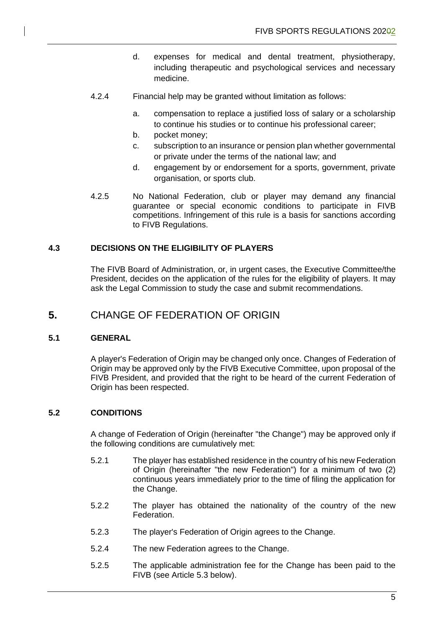- d. expenses for medical and dental treatment, physiotherapy, including therapeutic and psychological services and necessary medicine.
- 4.2.4 Financial help may be granted without limitation as follows:
	- a. compensation to replace a justified loss of salary or a scholarship to continue his studies or to continue his professional career;
	- b. pocket money;
	- c. subscription to an insurance or pension plan whether governmental or private under the terms of the national law; and
	- d. engagement by or endorsement for a sports, government, private organisation, or sports club.
- 4.2.5 No National Federation, club or player may demand any financial guarantee or special economic conditions to participate in FIVB competitions. Infringement of this rule is a basis for sanctions according to FIVB Regulations.

#### **4.3 DECISIONS ON THE ELIGIBILITY OF PLAYERS**

The FIVB Board of Administration, or, in urgent cases, the Executive Committee/the President, decides on the application of the rules for the eligibility of players. It may ask the Legal Commission to study the case and submit recommendations.

### <span id="page-7-0"></span>**5.** CHANGE OF FEDERATION OF ORIGIN

#### **5.1 GENERAL**

A player's Federation of Origin may be changed only once. Changes of Federation of Origin may be approved only by the FIVB Executive Committee, upon proposal of the FIVB President, and provided that the right to be heard of the current Federation of Origin has been respected.

#### **5.2 CONDITIONS**

A change of Federation of Origin (hereinafter "the Change") may be approved only if the following conditions are cumulatively met:

- 5.2.1 The player has established residence in the country of his new Federation of Origin (hereinafter "the new Federation") for a minimum of two (2) continuous years immediately prior to the time of filing the application for the Change.
- 5.2.2 The player has obtained the nationality of the country of the new Federation.
- 5.2.3 The player's Federation of Origin agrees to the Change.
- 5.2.4 The new Federation agrees to the Change.
- 5.2.5 The applicable administration fee for the Change has been paid to the FIVB (see Article 5.3 below).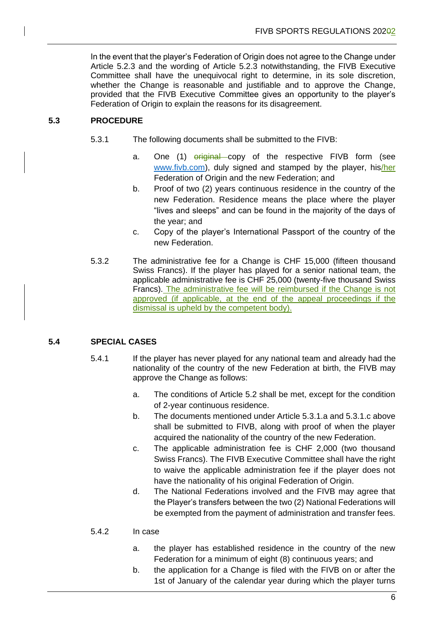In the event that the player's Federation of Origin does not agree to the Change under Article 5.2.3 and the wording of Article 5.2.3 notwithstanding, the FIVB Executive Committee shall have the unequivocal right to determine, in its sole discretion, whether the Change is reasonable and justifiable and to approve the Change, provided that the FIVB Executive Committee gives an opportunity to the player's Federation of Origin to explain the reasons for its disagreement.

#### **5.3 PROCEDURE**

- 5.3.1 The following documents shall be submitted to the FIVB:
	- a. One (1) original copy of the respective FIVB form (see [www.fivb.com\)](http://www.fivb.com/), duly signed and stamped by the player, his/her Federation of Origin and the new Federation; and
	- b. Proof of two (2) years continuous residence in the country of the new Federation. Residence means the place where the player "lives and sleeps" and can be found in the majority of the days of the year; and
	- c. Copy of the player's International Passport of the country of the new Federation.
- 5.3.2 The administrative fee for a Change is CHF 15,000 (fifteen thousand Swiss Francs). If the player has played for a senior national team, the applicable administrative fee is CHF 25,000 (twenty-five thousand Swiss Francs). The administrative fee will be reimbursed if the Change is not approved (if applicable, at the end of the appeal proceedings if the dismissal is upheld by the competent body).

#### **5.4 SPECIAL CASES**

- 5.4.1 If the player has never played for any national team and already had the nationality of the country of the new Federation at birth, the FIVB may approve the Change as follows:
	- a. The conditions of Article 5.2 shall be met, except for the condition of 2-year continuous residence.
	- b. The documents mentioned under Article 5.3.1.a and 5.3.1.c above shall be submitted to FIVB, along with proof of when the player acquired the nationality of the country of the new Federation.
	- c. The applicable administration fee is CHF 2,000 (two thousand Swiss Francs). The FIVB Executive Committee shall have the right to waive the applicable administration fee if the player does not have the nationality of his original Federation of Origin.
	- d. The National Federations involved and the FIVB may agree that the Player's transfers between the two (2) National Federations will be exempted from the payment of administration and transfer fees.

#### 5.4.2 In case

- a. the player has established residence in the country of the new Federation for a minimum of eight (8) continuous years; and
- b. the application for a Change is filed with the FIVB on or after the 1st of January of the calendar year during which the player turns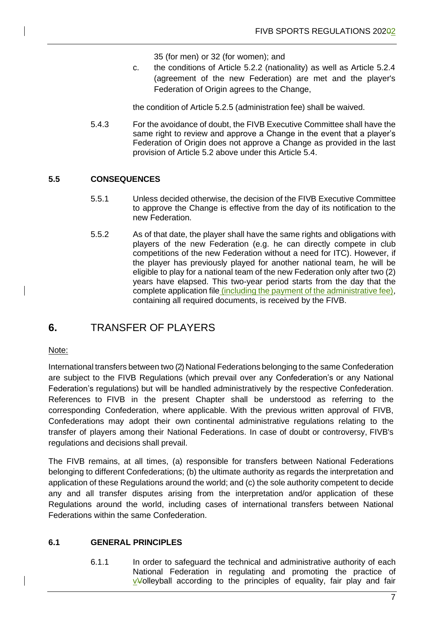35 (for men) or 32 (for women); and

c. the conditions of Article 5.2.2 (nationality) as well as Article 5.2.4 (agreement of the new Federation) are met and the player's Federation of Origin agrees to the Change,

the condition of Article 5.2.5 (administration fee) shall be waived.

5.4.3 For the avoidance of doubt, the FIVB Executive Committee shall have the same right to review and approve a Change in the event that a player's Federation of Origin does not approve a Change as provided in the last provision of Article 5.2 above under this Article 5.4.

#### **5.5 CONSEQUENCES**

- 5.5.1 Unless decided otherwise, the decision of the FIVB Executive Committee to approve the Change is effective from the day of its notification to the new Federation.
- 5.5.2 As of that date, the player shall have the same rights and obligations with players of the new Federation (e.g. he can directly compete in club competitions of the new Federation without a need for ITC). However, if the player has previously played for another national team, he will be eligible to play for a national team of the new Federation only after two (2) years have elapsed. This two-year period starts from the day that the complete application file (including the payment of the administrative fee), containing all required documents, is received by the FIVB.

## <span id="page-9-0"></span>**6.** TRANSFER OF PLAYERS

#### Note:

International transfers between two (2) National Federations belonging to the same Confederation are subject to the FIVB Regulations (which prevail over any Confederation's or any National Federation's regulations) but will be handled administratively by the respective Confederation. References to FIVB in the present Chapter shall be understood as referring to the corresponding Confederation, where applicable. With the previous written approval of FIVB, Confederations may adopt their own continental administrative regulations relating to the transfer of players among their National Federations. In case of doubt or controversy, FIVB's regulations and decisions shall prevail.

The FIVB remains, at all times, (a) responsible for transfers between National Federations belonging to different Confederations; (b) the ultimate authority as regards the interpretation and application of these Regulations around the world; and (c) the sole authority competent to decide any and all transfer disputes arising from the interpretation and/or application of these Regulations around the world, including cases of international transfers between National Federations within the same Confederation.

#### **6.1 GENERAL PRINCIPLES**

6.1.1 In order to safeguard the technical and administrative authority of each National Federation in regulating and promoting the practice of  $V$ Volleyball according to the principles of equality, fair play and fair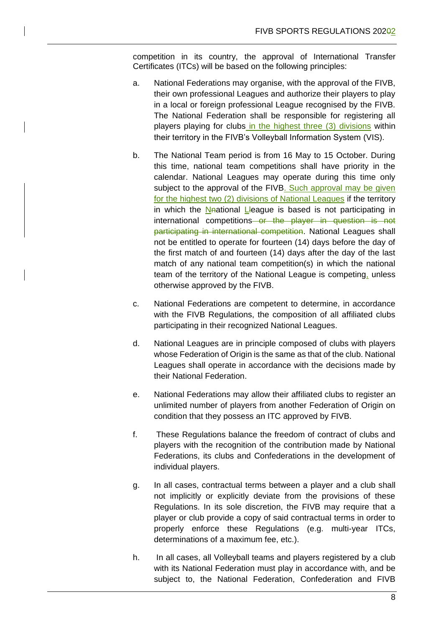competition in its country, the approval of International Transfer Certificates (ITCs) will be based on the following principles:

- a. National Federations may organise, with the approval of the FIVB, their own professional Leagues and authorize their players to play in a local or foreign professional League recognised by the FIVB. The National Federation shall be responsible for registering all players playing for clubs in the highest three (3) divisions within their territory in the FIVB's Volleyball Information System (VIS).
- b. The National Team period is from 16 May to 15 October. During this time, national team competitions shall have priority in the calendar. National Leagues may operate during this time only subject to the approval of the FIVB. Such approval may be given for the highest two (2) divisions of National Leagues if the territory in which the Naational Lleague is based is not participating in international competitions or the player in question is not participating in international competition. National Leagues shall not be entitled to operate for fourteen (14) days before the day of the first match of and fourteen (14) days after the day of the last match of any national team competition(s) in which the national team of the territory of the National League is competing, unless otherwise approved by the FIVB.
- c. National Federations are competent to determine, in accordance with the FIVB Regulations, the composition of all affiliated clubs participating in their recognized National Leagues.
- d. National Leagues are in principle composed of clubs with players whose Federation of Origin is the same as that of the club. National Leagues shall operate in accordance with the decisions made by their National Federation.
- e. National Federations may allow their affiliated clubs to register an unlimited number of players from another Federation of Origin on condition that they possess an ITC approved by FIVB.
- f. These Regulations balance the freedom of contract of clubs and players with the recognition of the contribution made by National Federations, its clubs and Confederations in the development of individual players.
- g. In all cases, contractual terms between a player and a club shall not implicitly or explicitly deviate from the provisions of these Regulations. In its sole discretion, the FIVB may require that a player or club provide a copy of said contractual terms in order to properly enforce these Regulations (e.g. multi-year ITCs, determinations of a maximum fee, etc.).
- h. In all cases, all Volleyball teams and players registered by a club with its National Federation must play in accordance with, and be subject to, the National Federation, Confederation and FIVB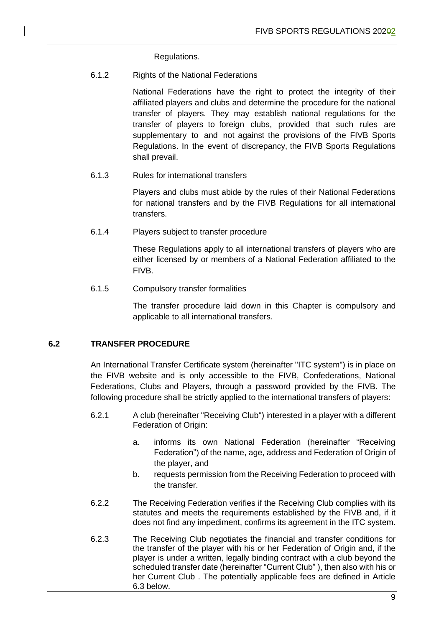Regulations.

6.1.2 Rights of the National Federations

National Federations have the right to protect the integrity of their affiliated players and clubs and determine the procedure for the national transfer of players. They may establish national regulations for the transfer of players to foreign clubs, provided that such rules are supplementary to and not against the provisions of the FIVB Sports Regulations. In the event of discrepancy, the FIVB Sports Regulations shall prevail.

6.1.3 Rules for international transfers

Players and clubs must abide by the rules of their National Federations for national transfers and by the FIVB Regulations for all international transfers.

6.1.4 Players subject to transfer procedure

These Regulations apply to all international transfers of players who are either licensed by or members of a National Federation affiliated to the FIVB.

6.1.5 Compulsory transfer formalities

The transfer procedure laid down in this Chapter is compulsory and applicable to all international transfers.

#### **6.2 TRANSFER PROCEDURE**

An International Transfer Certificate system (hereinafter "ITC system") is in place on the FIVB website and is only accessible to the FIVB, Confederations, National Federations, Clubs and Players, through a password provided by the FIVB. The following procedure shall be strictly applied to the international transfers of players:

- 6.2.1 A club (hereinafter "Receiving Club") interested in a player with a different Federation of Origin:
	- a. informs its own National Federation (hereinafter "Receiving Federation") of the name, age, address and Federation of Origin of the player, and
	- b. requests permission from the Receiving Federation to proceed with the transfer.
- 6.2.2 The Receiving Federation verifies if the Receiving Club complies with its statutes and meets the requirements established by the FIVB and, if it does not find any impediment, confirms its agreement in the ITC system.
- 6.2.3 The Receiving Club negotiates the financial and transfer conditions for the transfer of the player with his or her Federation of Origin and, if the player is under a written, legally binding contract with a club beyond the scheduled transfer date (hereinafter "Current Club" ), then also with his or her Current Club . The potentially applicable fees are defined in Article 6.3 below.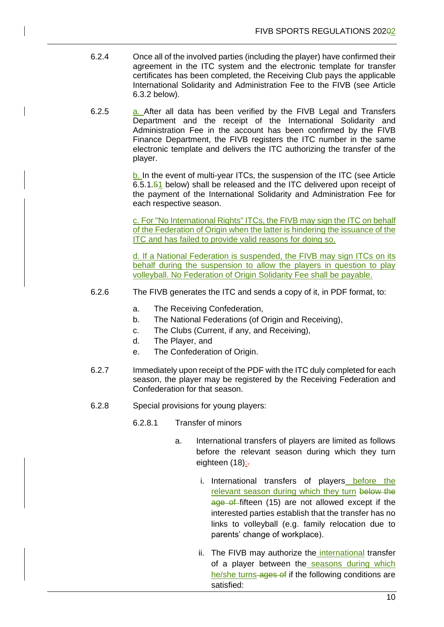- 6.2.4 Once all of the involved parties (including the player) have confirmed their agreement in the ITC system and the electronic template for transfer certificates has been completed, the Receiving Club pays the applicable International Solidarity and Administration Fee to the FIVB (see Article 6.3.2 below).
- 6.2.5 a. After all data has been verified by the FIVB Legal and Transfers Department and the receipt of the International Solidarity and Administration Fee in the account has been confirmed by the FIVB Finance Department, the FIVB registers the ITC number in the same electronic template and delivers the ITC authorizing the transfer of the player.

b. In the event of multi-year ITCs, the suspension of the ITC (see Article 6.5.1.51 below) shall be released and the ITC delivered upon receipt of the payment of the International Solidarity and Administration Fee for each respective season.

c. For "No International Rights" ITCs, the FIVB may sign the ITC on behalf of the Federation of Origin when the latter is hindering the issuance of the ITC and has failed to provide valid reasons for doing so.

d. If a National Federation is suspended, the FIVB may sign ITCs on its behalf during the suspension to allow the players in question to play volleyball. No Federation of Origin Solidarity Fee shall be payable.

- 6.2.6 The FIVB generates the ITC and sends a copy of it, in PDF format, to:
	- a. The Receiving Confederation,
	- b. The National Federations (of Origin and Receiving),
	- c. The Clubs (Current, if any, and Receiving),
	- d. The Player, and
	- e. The Confederation of Origin.
- 6.2.7 Immediately upon receipt of the PDF with the ITC duly completed for each season, the player may be registered by the Receiving Federation and Confederation for that season.
- 6.2.8 Special provisions for young players:
	- 6.2.8.1 Transfer of minors
		- a. International transfers of players are limited as follows before the relevant season during which they turn eighteen  $(18)$ :
			- i. International transfers of players before the relevant season during which they turn below the age of fifteen (15) are not allowed except if the interested parties establish that the transfer has no links to volleyball (e.g. family relocation due to parents' change of workplace).
			- ii. The FIVB may authorize the international transfer of a player between the seasons during which he/she turns-ages of if the following conditions are satisfied: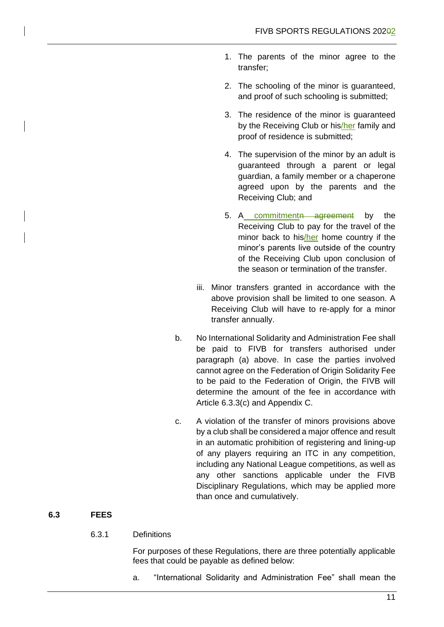- 1. The parents of the minor agree to the transfer;
- 2. The schooling of the minor is guaranteed, and proof of such schooling is submitted;
- 3. The residence of the minor is guaranteed by the Receiving Club or his/her family and proof of residence is submitted;
- 4. The supervision of the minor by an adult is guaranteed through a parent or legal guardian, a family member or a chaperone agreed upon by the parents and the Receiving Club; and
- 5. A commitmentn agreement by the Receiving Club to pay for the travel of the minor back to his/her home country if the minor's parents live outside of the country of the Receiving Club upon conclusion of the season or termination of the transfer.
- iii. Minor transfers granted in accordance with the above provision shall be limited to one season. A Receiving Club will have to re-apply for a minor transfer annually.
- b. No International Solidarity and Administration Fee shall be paid to FIVB for transfers authorised under paragraph (a) above. In case the parties involved cannot agree on the Federation of Origin Solidarity Fee to be paid to the Federation of Origin, the FIVB will determine the amount of the fee in accordance with Article 6.3.3(c) and Appendix C.
- c. A violation of the transfer of minors provisions above by a club shall be considered a major offence and result in an automatic prohibition of registering and lining-up of any players requiring an ITC in any competition, including any National League competitions, as well as any other sanctions applicable under the FIVB Disciplinary Regulations, which may be applied more than once and cumulatively.

#### **6.3 FEES**

#### 6.3.1 Definitions

For purposes of these Regulations, there are three potentially applicable fees that could be payable as defined below:

a. "International Solidarity and Administration Fee" shall mean the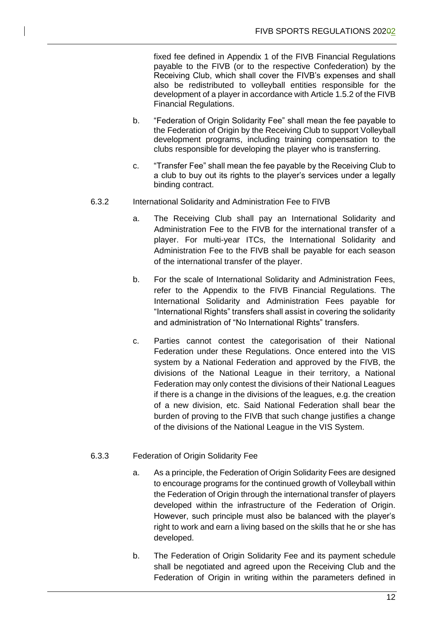fixed fee defined in Appendix 1 of the FIVB Financial Regulations payable to the FIVB (or to the respective Confederation) by the Receiving Club, which shall cover the FIVB's expenses and shall also be redistributed to volleyball entities responsible for the development of a player in accordance with Article 1.5.2 of the FIVB Financial Regulations.

- b. "Federation of Origin Solidarity Fee" shall mean the fee payable to the Federation of Origin by the Receiving Club to support Volleyball development programs, including training compensation to the clubs responsible for developing the player who is transferring.
- c. "Transfer Fee" shall mean the fee payable by the Receiving Club to a club to buy out its rights to the player's services under a legally binding contract.
- 6.3.2 International Solidarity and Administration Fee to FIVB
	- a. The Receiving Club shall pay an International Solidarity and Administration Fee to the FIVB for the international transfer of a player. For multi-year ITCs, the International Solidarity and Administration Fee to the FIVB shall be payable for each season of the international transfer of the player.
	- b. For the scale of International Solidarity and Administration Fees, refer to the Appendix to the FIVB Financial Regulations. The International Solidarity and Administration Fees payable for "International Rights" transfers shall assist in covering the solidarity and administration of "No International Rights" transfers.
	- c. Parties cannot contest the categorisation of their National Federation under these Regulations. Once entered into the VIS system by a National Federation and approved by the FIVB, the divisions of the National League in their territory, a National Federation may only contest the divisions of their National Leagues if there is a change in the divisions of the leagues, e.g. the creation of a new division, etc. Said National Federation shall bear the burden of proving to the FIVB that such change justifies a change of the divisions of the National League in the VIS System.
- 6.3.3 Federation of Origin Solidarity Fee
	- a. As a principle, the Federation of Origin Solidarity Fees are designed to encourage programs for the continued growth of Volleyball within the Federation of Origin through the international transfer of players developed within the infrastructure of the Federation of Origin. However, such principle must also be balanced with the player's right to work and earn a living based on the skills that he or she has developed.
	- b. The Federation of Origin Solidarity Fee and its payment schedule shall be negotiated and agreed upon the Receiving Club and the Federation of Origin in writing within the parameters defined in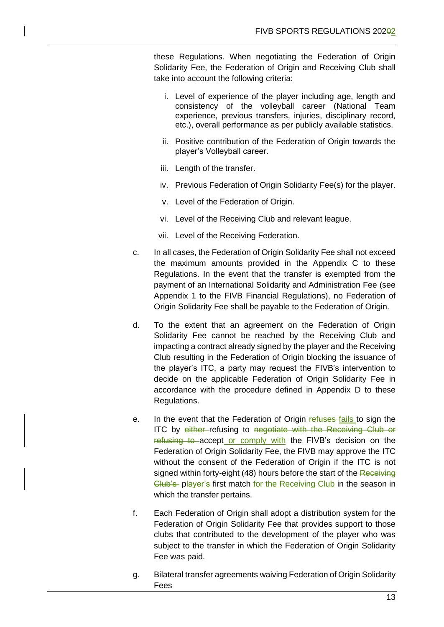these Regulations. When negotiating the Federation of Origin Solidarity Fee, the Federation of Origin and Receiving Club shall take into account the following criteria:

- i. Level of experience of the player including age, length and consistency of the volleyball career (National Team experience, previous transfers, injuries, disciplinary record, etc.), overall performance as per publicly available statistics.
- ii. Positive contribution of the Federation of Origin towards the player's Volleyball career.
- iii. Length of the transfer.
- iv. Previous Federation of Origin Solidarity Fee(s) for the player.
- v. Level of the Federation of Origin.
- vi. Level of the Receiving Club and relevant league.
- vii. Level of the Receiving Federation.
- c. In all cases, the Federation of Origin Solidarity Fee shall not exceed the maximum amounts provided in the Appendix C to these Regulations. In the event that the transfer is exempted from the payment of an International Solidarity and Administration Fee (see Appendix 1 to the FIVB Financial Regulations), no Federation of Origin Solidarity Fee shall be payable to the Federation of Origin.
- d. To the extent that an agreement on the Federation of Origin Solidarity Fee cannot be reached by the Receiving Club and impacting a contract already signed by the player and the Receiving Club resulting in the Federation of Origin blocking the issuance of the player's ITC, a party may request the FIVB's intervention to decide on the applicable Federation of Origin Solidarity Fee in accordance with the procedure defined in Appendix D to these Regulations.
- e. In the event that the Federation of Origin refuses fails to sign the ITC by either-refusing to negotiate with the Receiving Club or refusing to accept or comply with the FIVB's decision on the Federation of Origin Solidarity Fee, the FIVB may approve the ITC without the consent of the Federation of Origin if the ITC is not signed within forty-eight (48) hours before the start of the Receiving Glub's player's first match for the Receiving Club in the season in which the transfer pertains.
- f. Each Federation of Origin shall adopt a distribution system for the Federation of Origin Solidarity Fee that provides support to those clubs that contributed to the development of the player who was subject to the transfer in which the Federation of Origin Solidarity Fee was paid.
- g. Bilateral transfer agreements waiving Federation of Origin Solidarity Fees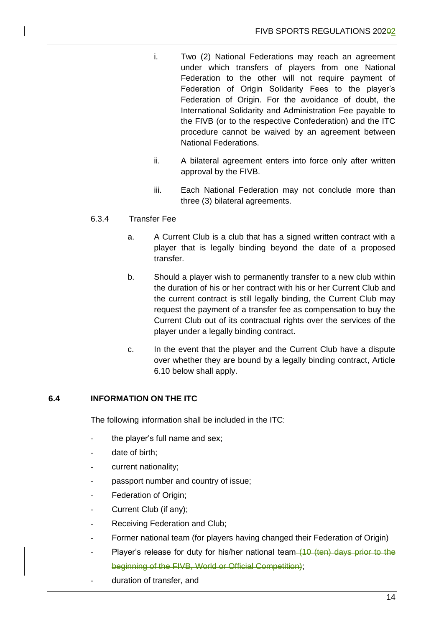- i. Two (2) National Federations may reach an agreement under which transfers of players from one National Federation to the other will not require payment of Federation of Origin Solidarity Fees to the player's Federation of Origin. For the avoidance of doubt, the International Solidarity and Administration Fee payable to the FIVB (or to the respective Confederation) and the ITC procedure cannot be waived by an agreement between National Federations.
- ii. A bilateral agreement enters into force only after written approval by the FIVB.
- iii. Each National Federation may not conclude more than three (3) bilateral agreements.

#### 6.3.4 Transfer Fee

- a. A Current Club is a club that has a signed written contract with a player that is legally binding beyond the date of a proposed transfer.
- b. Should a player wish to permanently transfer to a new club within the duration of his or her contract with his or her Current Club and the current contract is still legally binding, the Current Club may request the payment of a transfer fee as compensation to buy the Current Club out of its contractual rights over the services of the player under a legally binding contract.
- c. In the event that the player and the Current Club have a dispute over whether they are bound by a legally binding contract, Article 6.10 below shall apply.

#### **6.4 INFORMATION ON THE ITC**

The following information shall be included in the ITC:

- the player's full name and sex;
- date of birth;
- current nationality;
- passport number and country of issue;
- Federation of Origin;
- Current Club (if any);
- Receiving Federation and Club;
- Former national team (for players having changed their Federation of Origin)
- Player's release for duty for his/her national team (10 (ten) days prior to the beginning of the FIVB, World or Official Competition);
- duration of transfer, and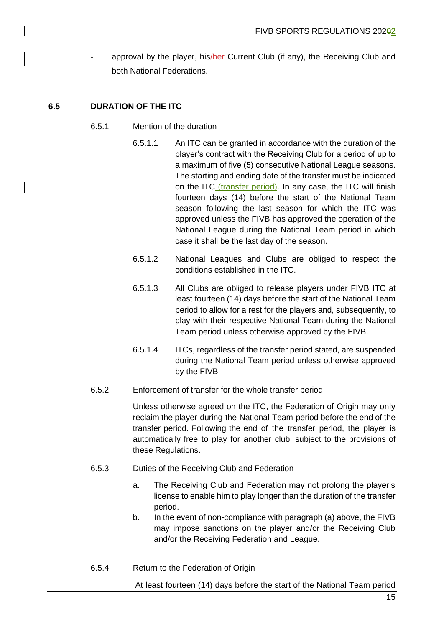approval by the player, his/her Current Club (if any), the Receiving Club and both National Federations.

#### **6.5 DURATION OF THE ITC**

- 6.5.1 Mention of the duration
	- 6.5.1.1 An ITC can be granted in accordance with the duration of the player's contract with the Receiving Club for a period of up to a maximum of five (5) consecutive National League seasons. The starting and ending date of the transfer must be indicated on the ITC (transfer period). In any case, the ITC will finish fourteen days (14) before the start of the National Team season following the last season for which the ITC was approved unless the FIVB has approved the operation of the National League during the National Team period in which case it shall be the last day of the season.
	- 6.5.1.2 National Leagues and Clubs are obliged to respect the conditions established in the ITC.
	- 6.5.1.3 All Clubs are obliged to release players under FIVB ITC at least fourteen (14) days before the start of the National Team period to allow for a rest for the players and, subsequently, to play with their respective National Team during the National Team period unless otherwise approved by the FIVB.
	- 6.5.1.4 ITCs, regardless of the transfer period stated, are suspended during the National Team period unless otherwise approved by the FIVB.
- 6.5.2 Enforcement of transfer for the whole transfer period

Unless otherwise agreed on the ITC, the Federation of Origin may only reclaim the player during the National Team period before the end of the transfer period. Following the end of the transfer period, the player is automatically free to play for another club, subject to the provisions of these Regulations.

- 6.5.3 Duties of the Receiving Club and Federation
	- a. The Receiving Club and Federation may not prolong the player's license to enable him to play longer than the duration of the transfer period.
	- b. In the event of non-compliance with paragraph (a) above, the FIVB may impose sanctions on the player and/or the Receiving Club and/or the Receiving Federation and League.
- 6.5.4 Return to the Federation of Origin

At least fourteen (14) days before the start of the National Team period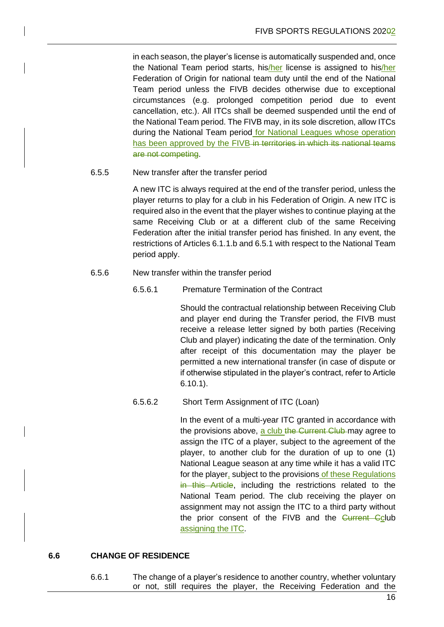in each season, the player's license is automatically suspended and, once the National Team period starts, his/her license is assigned to his/her Federation of Origin for national team duty until the end of the National Team period unless the FIVB decides otherwise due to exceptional circumstances (e.g. prolonged competition period due to event cancellation, etc.). All ITCs shall be deemed suspended until the end of the National Team period. The FIVB may, in its sole discretion, allow ITCs during the National Team period for National Leagues whose operation has been approved by the FIVB-in territories in which its national teams are not competing.

#### 6.5.5 New transfer after the transfer period

A new ITC is always required at the end of the transfer period, unless the player returns to play for a club in his Federation of Origin. A new ITC is required also in the event that the player wishes to continue playing at the same Receiving Club or at a different club of the same Receiving Federation after the initial transfer period has finished. In any event, the restrictions of Articles 6.1.1.b and 6.5.1 with respect to the National Team period apply.

#### 6.5.6 New transfer within the transfer period

#### 6.5.6.1 Premature Termination of the Contract

Should the contractual relationship between Receiving Club and player end during the Transfer period, the FIVB must receive a release letter signed by both parties (Receiving Club and player) indicating the date of the termination. Only after receipt of this documentation may the player be permitted a new international transfer (in case of dispute or if otherwise stipulated in the player's contract, refer to Article 6.10.1).

#### 6.5.6.2 Short Term Assignment of ITC (Loan)

In the event of a multi-year ITC granted in accordance with the provisions above, a club the Current Club may agree to assign the ITC of a player, subject to the agreement of the player, to another club for the duration of up to one (1) National League season at any time while it has a valid ITC for the player, subject to the provisions of these Regulations in this Article, including the restrictions related to the National Team period. The club receiving the player on assignment may not assign the ITC to a third party without the prior consent of the FIVB and the Current Cclub assigning the ITC.

#### **6.6 CHANGE OF RESIDENCE**

6.6.1 The change of a player's residence to another country, whether voluntary or not, still requires the player, the Receiving Federation and the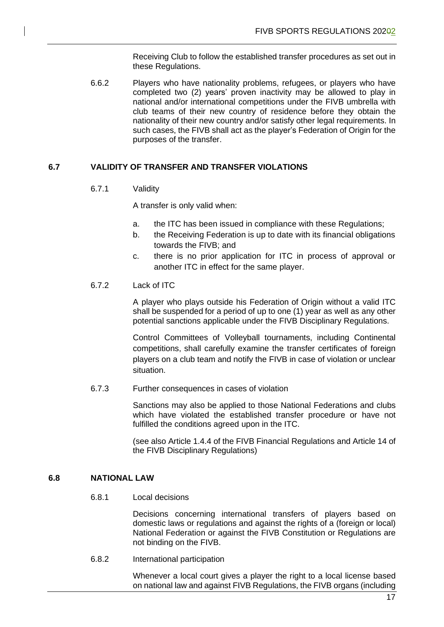Receiving Club to follow the established transfer procedures as set out in these Regulations.

6.6.2 Players who have nationality problems, refugees, or players who have completed two (2) years' proven inactivity may be allowed to play in national and/or international competitions under the FIVB umbrella with club teams of their new country of residence before they obtain the nationality of their new country and/or satisfy other legal requirements. In such cases, the FIVB shall act as the player's Federation of Origin for the purposes of the transfer.

#### **6.7 VALIDITY OF TRANSFER AND TRANSFER VIOLATIONS**

#### 6.7.1 Validity

A transfer is only valid when:

- a. the ITC has been issued in compliance with these Regulations;
- b. the Receiving Federation is up to date with its financial obligations towards the FIVB; and
- c. there is no prior application for ITC in process of approval or another ITC in effect for the same player.

#### 6.7.2 Lack of ITC

A player who plays outside his Federation of Origin without a valid ITC shall be suspended for a period of up to one (1) year as well as any other potential sanctions applicable under the FIVB Disciplinary Regulations.

Control Committees of Volleyball tournaments, including Continental competitions, shall carefully examine the transfer certificates of foreign players on a club team and notify the FIVB in case of violation or unclear situation.

#### 6.7.3 Further consequences in cases of violation

Sanctions may also be applied to those National Federations and clubs which have violated the established transfer procedure or have not fulfilled the conditions agreed upon in the ITC.

(see also Article 1.4.4 of the FIVB Financial Regulations and Article 14 of the FIVB Disciplinary Regulations)

#### **6.8 NATIONAL LAW**

6.8.1 Local decisions

Decisions concerning international transfers of players based on domestic laws or regulations and against the rights of a (foreign or local) National Federation or against the FIVB Constitution or Regulations are not binding on the FIVB.

6.8.2 International participation

Whenever a local court gives a player the right to a local license based on national law and against FIVB Regulations, the FIVB organs (including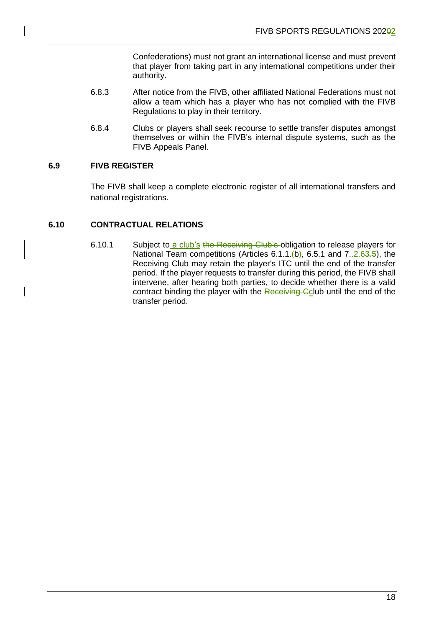Confederations) must not grant an international license and must prevent that player from taking part in any international competitions under their authority.

- 6.8.3 After notice from the FIVB, other affiliated National Federations must not allow a team which has a player who has not complied with the FIVB Regulations to play in their territory.
- 6.8.4 Clubs or players shall seek recourse to settle transfer disputes amongst themselves or within the FIVB's internal dispute systems, such as the FIVB Appeals Panel.

#### **6.9 FIVB REGISTER**

The FIVB shall keep a complete electronic register of all international transfers and national registrations.

#### **6.10 CONTRACTUAL RELATIONS**

6.10.1 Subject to a club's the Receiving Club's obligation to release players for National Team competitions (Articles  $6.1.1(j)$ ,  $6.5.1$  and  $7.2.63.5$ ), the Receiving Club may retain the player's ITC until the end of the transfer period. If the player requests to transfer during this period, the FIVB shall intervene, after hearing both parties, to decide whether there is a valid contract binding the player with the Receiving Cclub until the end of the transfer period.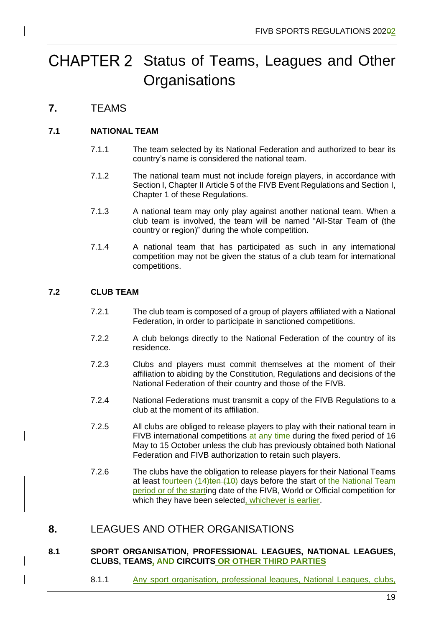## <span id="page-21-0"></span>CHAPTER 2 Status of Teams, Leagues and Other **Organisations**

## <span id="page-21-1"></span>**7.** TEAMS

#### **7.1 NATIONAL TEAM**

- 7.1.1 The team selected by its National Federation and authorized to bear its country's name is considered the national team.
- 7.1.2 The national team must not include foreign players, in accordance with Section I, Chapter II Article 5 of the FIVB Event Regulations and Section I, Chapter 1 of these Regulations.
- 7.1.3 A national team may only play against another national team. When a club team is involved, the team will be named "All-Star Team of (the country or region)" during the whole competition.
- 7.1.4 A national team that has participated as such in any international competition may not be given the status of a club team for international competitions.

#### **7.2 CLUB TEAM**

- 7.2.1 The club team is composed of a group of players affiliated with a National Federation, in order to participate in sanctioned competitions.
- 7.2.2 A club belongs directly to the National Federation of the country of its residence.
- 7.2.3 Clubs and players must commit themselves at the moment of their affiliation to abiding by the Constitution, Regulations and decisions of the National Federation of their country and those of the FIVB.
- 7.2.4 National Federations must transmit a copy of the FIVB Regulations to a club at the moment of its affiliation.
- 7.2.5 All clubs are obliged to release players to play with their national team in FIVB international competitions at any time during the fixed period of 16 May to 15 October unless the club has previously obtained both National Federation and FIVB authorization to retain such players.
- 7.2.6 The clubs have the obligation to release players for their National Teams at least fourteen (14)ten (10) days before the start of the National Team period or of the starting date of the FIVB, World or Official competition for which they have been selected, whichever is earlier.

## <span id="page-21-2"></span>**8.** LEAGUES AND OTHER ORGANISATIONS

#### **8.1 SPORT ORGANISATION, PROFESSIONAL LEAGUES, NATIONAL LEAGUES, CLUBS, TEAMS, AND CIRCUITS OR OTHER THIRD PARTIES**

8.1.1 Any sport organisation, professional leagues, National Leagues, clubs,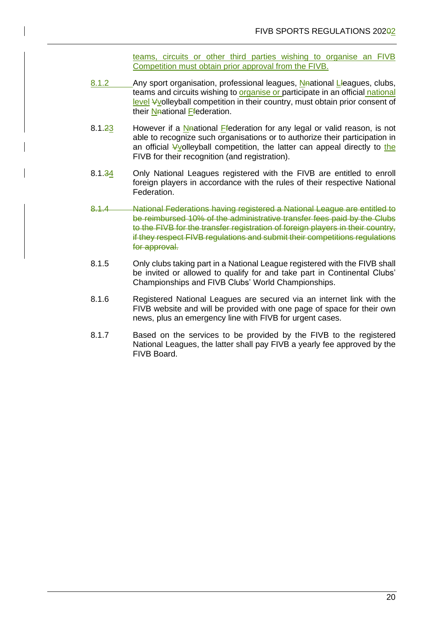teams, circuits or other third parties wishing to organise an FIVB Competition must obtain prior approval from the FIVB.

- 8.1.2 Any sport organisation, professional leagues, National Leagues, clubs, teams and circuits wishing to **organise or participate in an official national** level Vvolleyball competition in their country, must obtain prior consent of their Nnational Ffederation.
- 8.1. $\frac{23}{123}$  However if a Neational Fitederation for any legal or valid reason, is not able to recognize such organisations or to authorize their participation in an official  $\frac{V}{V}$ olleyball competition, the latter can appeal directly to the FIVB for their recognition (and registration).
- 8.1.34 Only National Leagues registered with the FIVB are entitled to enroll foreign players in accordance with the rules of their respective National Federation.
- 8.1.4 National Federations having registered a National League are entitled to be reimbursed 10% of the administrative transfer fees paid by the Clubs to the FIVB for the transfer registration of foreign players in their country, if they respect FIVB regulations and submit their competitions regulations for approval.
- 8.1.5 Only clubs taking part in a National League registered with the FIVB shall be invited or allowed to qualify for and take part in Continental Clubs' Championships and FIVB Clubs' World Championships.
- 8.1.6 Registered National Leagues are secured via an internet link with the FIVB website and will be provided with one page of space for their own news, plus an emergency line with FIVB for urgent cases.
- 8.1.7 Based on the services to be provided by the FIVB to the registered National Leagues, the latter shall pay FIVB a yearly fee approved by the FIVB Board.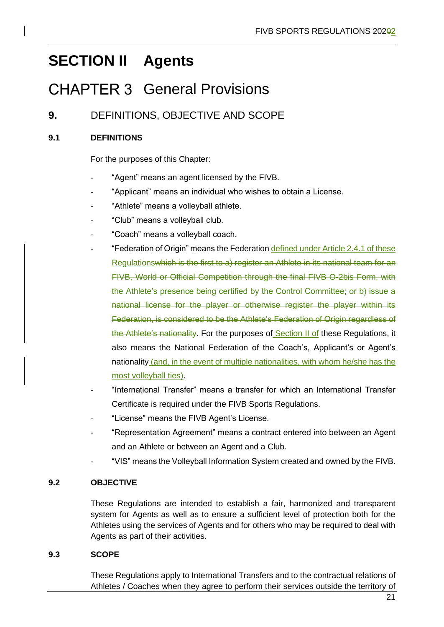## <span id="page-23-0"></span>**SECTION II Agents**

## <span id="page-23-1"></span>**CHAPTER 3 General Provisions**

## <span id="page-23-2"></span>**9.** DEFINITIONS, OBJECTIVE AND SCOPE

### **9.1 DEFINITIONS**

For the purposes of this Chapter:

- "Agent" means an agent licensed by the FIVB.
- "Applicant" means an individual who wishes to obtain a License.
- "Athlete" means a volleyball athlete.
- "Club" means a volleyball club.
- "Coach" means a volleyball coach.
- "Federation of Origin" means the Federation defined under Article 2.4.1 of these Regulationswhich is the first to a) register an Athlete in its national team for an FIVB, World or Official Competition through the final FIVB O-2bis Form, with the Athlete's presence being certified by the Control Committee; or b) issue a national license for the player or otherwise register the player within its Federation, is considered to be the Athlete's Federation of Origin regardless of the Athlete's nationality. For the purposes of Section II of these Regulations, it also means the National Federation of the Coach's, Applicant's or Agent's nationality (and, in the event of multiple nationalities, with whom he/she has the most volleyball ties).
- "International Transfer" means a transfer for which an International Transfer Certificate is required under the FIVB Sports Regulations.
- "License" means the FIVB Agent's License.
- "Representation Agreement" means a contract entered into between an Agent and an Athlete or between an Agent and a Club.
- "VIS" means the Volleyball Information System created and owned by the FIVB.

#### **9.2 OBJECTIVE**

These Regulations are intended to establish a fair, harmonized and transparent system for Agents as well as to ensure a sufficient level of protection both for the Athletes using the services of Agents and for others who may be required to deal with Agents as part of their activities.

#### **9.3 SCOPE**

These Regulations apply to International Transfers and to the contractual relations of Athletes / Coaches when they agree to perform their services outside the territory of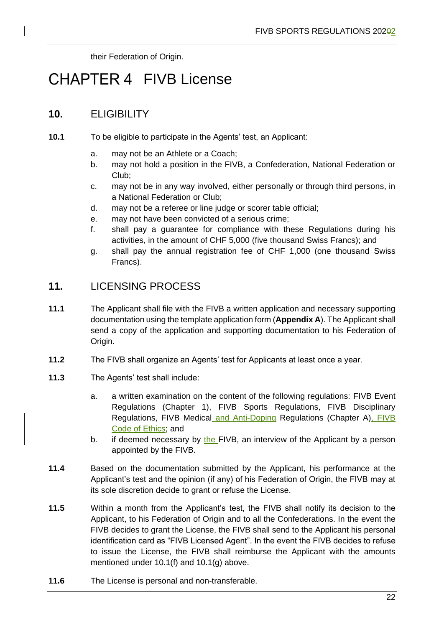their Federation of Origin.

## <span id="page-24-0"></span>CHAPTER 4 FIVB License

## <span id="page-24-1"></span>**10.** ELIGIBILITY

- **10.1** To be eligible to participate in the Agents' test, an Applicant:
	- a. may not be an Athlete or a Coach;
	- b. may not hold a position in the FIVB, a Confederation, National Federation or Club;
	- c. may not be in any way involved, either personally or through third persons, in a National Federation or Club;
	- d. may not be a referee or line judge or scorer table official;
	- e. may not have been convicted of a serious crime;
	- f. shall pay a guarantee for compliance with these Regulations during his activities, in the amount of CHF 5,000 (five thousand Swiss Francs); and
	- g. shall pay the annual registration fee of CHF 1,000 (one thousand Swiss Francs).

### <span id="page-24-2"></span>**11.** LICENSING PROCESS

- **11.1** The Applicant shall file with the FIVB a written application and necessary supporting documentation using the template application form (**Appendix A**). The Applicant shall send a copy of the application and supporting documentation to his Federation of Origin.
- **11.2** The FIVB shall organize an Agents' test for Applicants at least once a year.
- **11.3** The Agents' test shall include:
	- a. a written examination on the content of the following regulations: FIVB Event Regulations (Chapter 1), FIVB Sports Regulations, FIVB Disciplinary Regulations, FIVB Medical and Anti-Doping Regulations (Chapter A), FIVB Code of Ethics; and
	- b. if deemed necessary by the FIVB, an interview of the Applicant by a person appointed by the FIVB.
- **11.4** Based on the documentation submitted by the Applicant, his performance at the Applicant's test and the opinion (if any) of his Federation of Origin, the FIVB may at its sole discretion decide to grant or refuse the License.
- **11.5** Within a month from the Applicant's test, the FIVB shall notify its decision to the Applicant, to his Federation of Origin and to all the Confederations. In the event the FIVB decides to grant the License, the FIVB shall send to the Applicant his personal identification card as "FIVB Licensed Agent". In the event the FIVB decides to refuse to issue the License, the FIVB shall reimburse the Applicant with the amounts mentioned under 10.1(f) and 10.1(g) above.
- **11.6** The License is personal and non-transferable.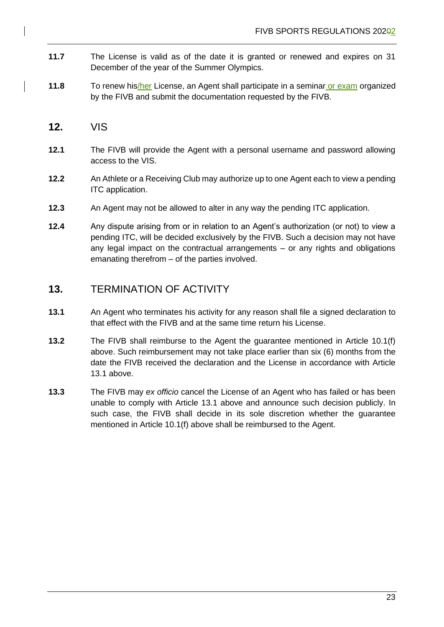- **11.7** The License is valid as of the date it is granted or renewed and expires on 31 December of the year of the Summer Olympics.
- **11.8** To renew his/her License, an Agent shall participate in a seminar or exam organized by the FIVB and submit the documentation requested by the FIVB.
- <span id="page-25-0"></span>**12.** VIS
- **12.1** The FIVB will provide the Agent with a personal username and password allowing access to the VIS.
- **12.2** An Athlete or a Receiving Club may authorize up to one Agent each to view a pending ITC application.
- **12.3** An Agent may not be allowed to alter in any way the pending ITC application.
- **12.4** Any dispute arising from or in relation to an Agent's authorization (or not) to view a pending ITC, will be decided exclusively by the FIVB. Such a decision may not have any legal impact on the contractual arrangements – or any rights and obligations emanating therefrom – of the parties involved.

### <span id="page-25-1"></span>**13.** TERMINATION OF ACTIVITY

- **13.1** An Agent who terminates his activity for any reason shall file a signed declaration to that effect with the FIVB and at the same time return his License.
- **13.2** The FIVB shall reimburse to the Agent the guarantee mentioned in Article 10.1(f) above. Such reimbursement may not take place earlier than six (6) months from the date the FIVB received the declaration and the License in accordance with Article 13.1 above.
- **13.3** The FIVB may *ex officio* cancel the License of an Agent who has failed or has been unable to comply with Article 13.1 above and announce such decision publicly. In such case, the FIVB shall decide in its sole discretion whether the guarantee mentioned in Article 10.1(f) above shall be reimbursed to the Agent.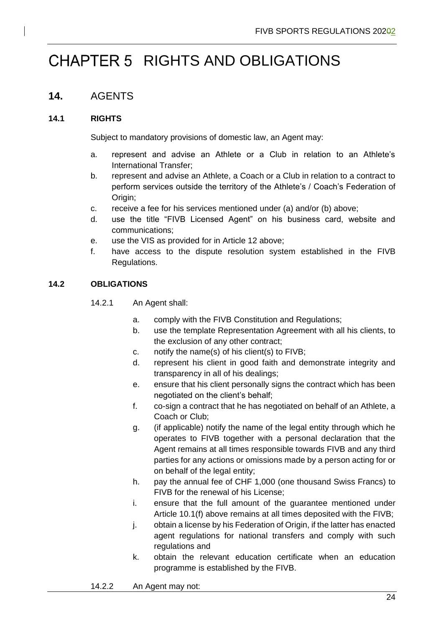## <span id="page-26-0"></span>CHAPTER 5 RIGHTS AND OBLIGATIONS

## <span id="page-26-1"></span>**14.** AGENTS

#### **14.1 RIGHTS**

Subject to mandatory provisions of domestic law, an Agent may:

- a. represent and advise an Athlete or a Club in relation to an Athlete's International Transfer;
- b. represent and advise an Athlete, a Coach or a Club in relation to a contract to perform services outside the territory of the Athlete's / Coach's Federation of Origin;
- c. receive a fee for his services mentioned under (a) and/or (b) above;
- d. use the title "FIVB Licensed Agent" on his business card, website and communications;
- e. use the VIS as provided for in Article 12 above;
- f. have access to the dispute resolution system established in the FIVB Regulations.

#### **14.2 OBLIGATIONS**

- 14.2.1 An Agent shall:
	- a. comply with the FIVB Constitution and Regulations;
	- b. use the template Representation Agreement with all his clients, to the exclusion of any other contract;
	- c. notify the name(s) of his client(s) to FIVB;
	- d. represent his client in good faith and demonstrate integrity and transparency in all of his dealings;
	- e. ensure that his client personally signs the contract which has been negotiated on the client's behalf;
	- f. co-sign a contract that he has negotiated on behalf of an Athlete, a Coach or Club;
	- g. (if applicable) notify the name of the legal entity through which he operates to FIVB together with a personal declaration that the Agent remains at all times responsible towards FIVB and any third parties for any actions or omissions made by a person acting for or on behalf of the legal entity;
	- h. pay the annual fee of CHF 1,000 (one thousand Swiss Francs) to FIVB for the renewal of his License;
	- i. ensure that the full amount of the guarantee mentioned under Article 10.1(f) above remains at all times deposited with the FIVB;
	- j. obtain a license by his Federation of Origin, if the latter has enacted agent regulations for national transfers and comply with such regulations and
	- k. obtain the relevant education certificate when an education programme is established by the FIVB.
- 14.2.2 An Agent may not: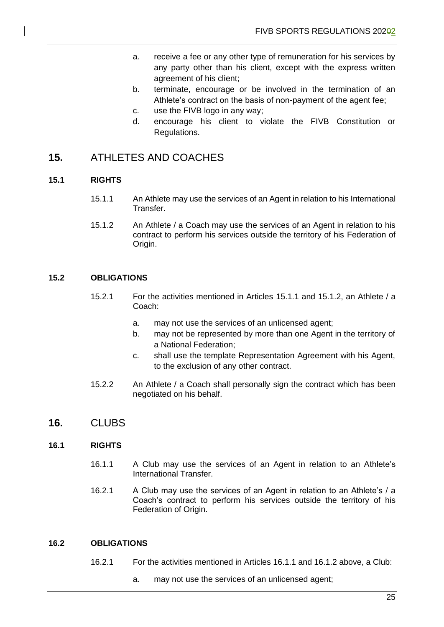- a. receive a fee or any other type of remuneration for his services by any party other than his client, except with the express written agreement of his client;
- b. terminate, encourage or be involved in the termination of an Athlete's contract on the basis of non-payment of the agent fee;
- c. use the FIVB logo in any way;
- d. encourage his client to violate the FIVB Constitution or Regulations.

### <span id="page-27-0"></span>**15.** ATHLETES AND COACHES

#### **15.1 RIGHTS**

- 15.1.1 An Athlete may use the services of an Agent in relation to his International Transfer.
- 15.1.2 An Athlete / a Coach may use the services of an Agent in relation to his contract to perform his services outside the territory of his Federation of Origin.

#### **15.2 OBLIGATIONS**

- 15.2.1 For the activities mentioned in Articles 15.1.1 and 15.1.2, an Athlete / a Coach:
	- a. may not use the services of an unlicensed agent;
	- b. may not be represented by more than one Agent in the territory of a National Federation;
	- c. shall use the template Representation Agreement with his Agent, to the exclusion of any other contract.
- 15.2.2 An Athlete / a Coach shall personally sign the contract which has been negotiated on his behalf.

### <span id="page-27-1"></span>**16.** CLUBS

#### **16.1 RIGHTS**

- 16.1.1 A Club may use the services of an Agent in relation to an Athlete's International Transfer.
- 16.2.1 A Club may use the services of an Agent in relation to an Athlete's / a Coach's contract to perform his services outside the territory of his Federation of Origin.

#### **16.2 OBLIGATIONS**

- 16.2.1 For the activities mentioned in Articles 16.1.1 and 16.1.2 above, a Club:
	- a. may not use the services of an unlicensed agent;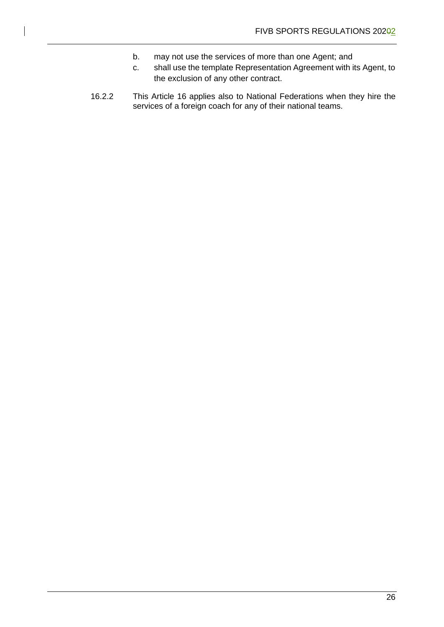- b. may not use the services of more than one Agent; and
- c. shall use the template Representation Agreement with its Agent, to the exclusion of any other contract.
- 16.2.2 This Article 16 applies also to National Federations when they hire the services of a foreign coach for any of their national teams.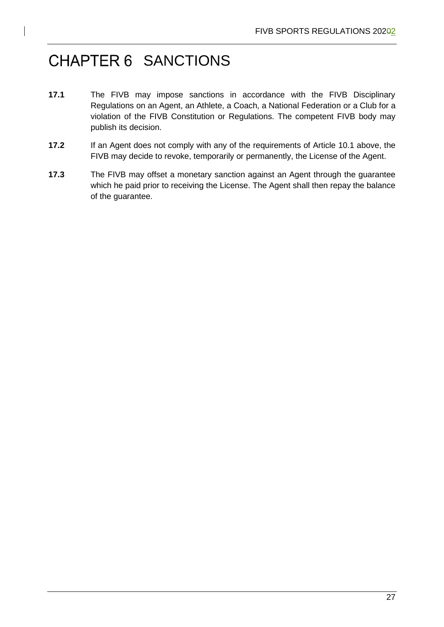## <span id="page-29-0"></span>CHAPTER 6 SANCTIONS

- **17.1** The FIVB may impose sanctions in accordance with the FIVB Disciplinary Regulations on an Agent, an Athlete, a Coach, a National Federation or a Club for a violation of the FIVB Constitution or Regulations. The competent FIVB body may publish its decision.
- **17.2** If an Agent does not comply with any of the requirements of Article 10.1 above, the FIVB may decide to revoke, temporarily or permanently, the License of the Agent.
- **17.3** The FIVB may offset a monetary sanction against an Agent through the guarantee which he paid prior to receiving the License. The Agent shall then repay the balance of the guarantee.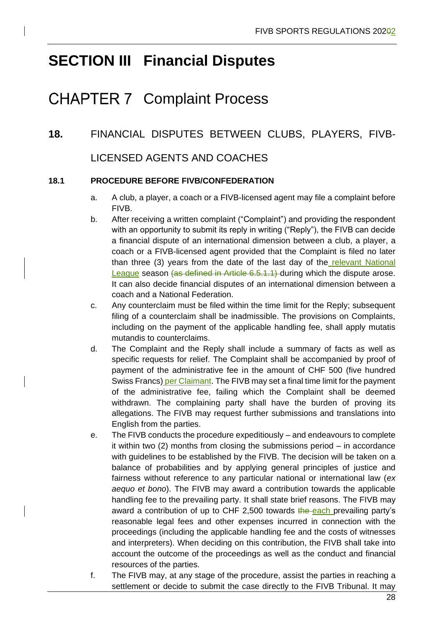## <span id="page-30-0"></span>**SECTION III Financial Disputes**

## <span id="page-30-1"></span>**CHAPTER 7 Complaint Process**

## <span id="page-30-2"></span>**18.** FINANCIAL DISPUTES BETWEEN CLUBS, PLAYERS, FIVB-

## LICENSED AGENTS AND COACHES

#### **18.1 PROCEDURE BEFORE FIVB/CONFEDERATION**

- a. A club, a player, a coach or a FIVB-licensed agent may file a complaint before FIVB.
- b. After receiving a written complaint ("Complaint") and providing the respondent with an opportunity to submit its reply in writing ("Reply"), the FIVB can decide a financial dispute of an international dimension between a club, a player, a coach or a FIVB-licensed agent provided that the Complaint is filed no later than three (3) years from the date of the last day of the relevant National League season (as defined in Article 6.5.1.1) during which the dispute arose. It can also decide financial disputes of an international dimension between a coach and a National Federation.
- c. Any counterclaim must be filed within the time limit for the Reply; subsequent filing of a counterclaim shall be inadmissible. The provisions on Complaints, including on the payment of the applicable handling fee, shall apply mutatis mutandis to counterclaims.
- d. The Complaint and the Reply shall include a summary of facts as well as specific requests for relief. The Complaint shall be accompanied by proof of payment of the administrative fee in the amount of CHF 500 (five hundred Swiss Francs) per Claimant. The FIVB may set a final time limit for the payment of the administrative fee, failing which the Complaint shall be deemed withdrawn. The complaining party shall have the burden of proving its allegations. The FIVB may request further submissions and translations into English from the parties.
- e. The FIVB conducts the procedure expeditiously and endeavours to complete it within two (2) months from closing the submissions period – in accordance with guidelines to be established by the FIVB. The decision will be taken on a balance of probabilities and by applying general principles of justice and fairness without reference to any particular national or international law (*ex aequo et bono*). The FIVB may award a contribution towards the applicable handling fee to the prevailing party. It shall state brief reasons. The FIVB may award a contribution of up to CHF 2,500 towards the each prevailing party's reasonable legal fees and other expenses incurred in connection with the proceedings (including the applicable handling fee and the costs of witnesses and interpreters). When deciding on this contribution, the FIVB shall take into account the outcome of the proceedings as well as the conduct and financial resources of the parties.
- f. The FIVB may, at any stage of the procedure, assist the parties in reaching a settlement or decide to submit the case directly to the FIVB Tribunal. It may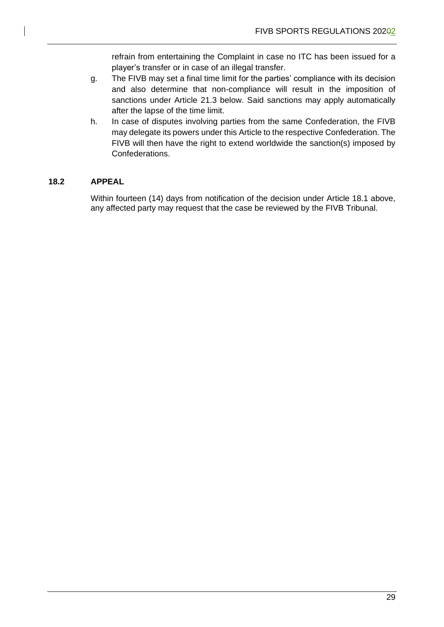refrain from entertaining the Complaint in case no ITC has been issued for a player's transfer or in case of an illegal transfer.

- g. The FIVB may set a final time limit for the parties' compliance with its decision and also determine that non-compliance will result in the imposition of sanctions under Article 21.3 below. Said sanctions may apply automatically after the lapse of the time limit.
- h. In case of disputes involving parties from the same Confederation, the FIVB may delegate its powers under this Article to the respective Confederation. The FIVB will then have the right to extend worldwide the sanction(s) imposed by Confederations.

#### **18.2 APPEAL**

Within fourteen (14) days from notification of the decision under Article 18.1 above, any affected party may request that the case be reviewed by the FIVB Tribunal.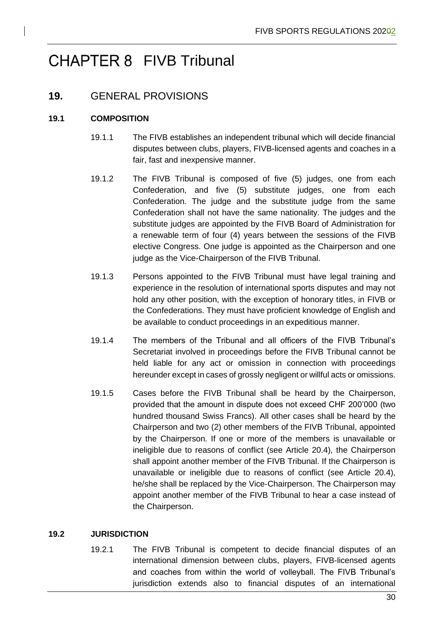## <span id="page-32-0"></span>CHAPTER 8 FIVB Tribunal

## <span id="page-32-1"></span>**19.** GENERAL PROVISIONS

#### **19.1 COMPOSITION**

- 19.1.1 The FIVB establishes an independent tribunal which will decide financial disputes between clubs, players, FIVB-licensed agents and coaches in a fair, fast and inexpensive manner.
- 19.1.2 The FIVB Tribunal is composed of five (5) judges, one from each Confederation, and five (5) substitute judges, one from each Confederation. The judge and the substitute judge from the same Confederation shall not have the same nationality. The judges and the substitute judges are appointed by the FIVB Board of Administration for a renewable term of four (4) years between the sessions of the FIVB elective Congress. One judge is appointed as the Chairperson and one judge as the Vice-Chairperson of the FIVB Tribunal.
- 19.1.3 Persons appointed to the FIVB Tribunal must have legal training and experience in the resolution of international sports disputes and may not hold any other position, with the exception of honorary titles, in FIVB or the Confederations. They must have proficient knowledge of English and be available to conduct proceedings in an expeditious manner.
- 19.1.4 The members of the Tribunal and all officers of the FIVB Tribunal's Secretariat involved in proceedings before the FIVB Tribunal cannot be held liable for any act or omission in connection with proceedings hereunder except in cases of grossly negligent or willful acts or omissions.
- 19.1.5 Cases before the FIVB Tribunal shall be heard by the Chairperson, provided that the amount in dispute does not exceed CHF 200'000 (two hundred thousand Swiss Francs). All other cases shall be heard by the Chairperson and two (2) other members of the FIVB Tribunal, appointed by the Chairperson. If one or more of the members is unavailable or ineligible due to reasons of conflict (see Article 20.4), the Chairperson shall appoint another member of the FIVB Tribunal. If the Chairperson is unavailable or ineligible due to reasons of conflict (see Article 20.4), he/she shall be replaced by the Vice‐Chairperson. The Chairperson may appoint another member of the FIVB Tribunal to hear a case instead of the Chairperson.

#### **19.2 JURISDICTION**

19.2.1 The FIVB Tribunal is competent to decide financial disputes of an international dimension between clubs, players, FIVB-licensed agents and coaches from within the world of volleyball. The FIVB Tribunal's jurisdiction extends also to financial disputes of an international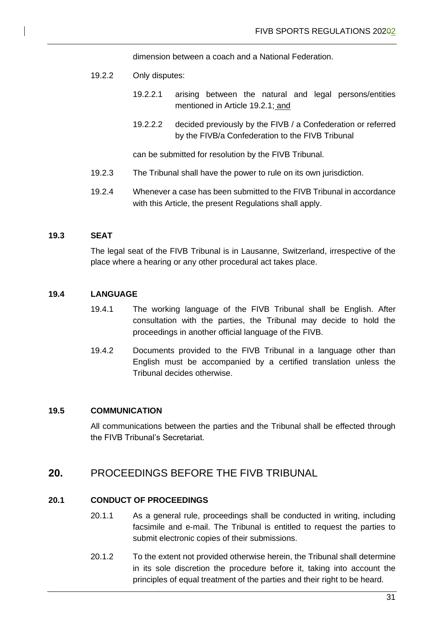dimension between a coach and a National Federation.

- 19.2.2 Only disputes:
	- 19.2.2.1 arising between the natural and legal persons/entities mentioned in Article 19.2.1; and
	- 19.2.2.2 decided previously by the FIVB / a Confederation or referred by the FIVB/a Confederation to the FIVB Tribunal

can be submitted for resolution by the FIVB Tribunal.

- 19.2.3 The Tribunal shall have the power to rule on its own jurisdiction.
- 19.2.4 Whenever a case has been submitted to the FIVB Tribunal in accordance with this Article, the present Regulations shall apply.

#### **19.3 SEAT**

The legal seat of the FIVB Tribunal is in Lausanne, Switzerland, irrespective of the place where a hearing or any other procedural act takes place.

#### **19.4 LANGUAGE**

- 19.4.1 The working language of the FIVB Tribunal shall be English. After consultation with the parties, the Tribunal may decide to hold the proceedings in another official language of the FIVB.
- 19.4.2 Documents provided to the FIVB Tribunal in a language other than English must be accompanied by a certified translation unless the Tribunal decides otherwise.

#### **19.5 COMMUNICATION**

All communications between the parties and the Tribunal shall be effected through the FIVB Tribunal's Secretariat.

### <span id="page-33-0"></span>**20.** PROCEEDINGS BEFORE THE FIVB TRIBUNAL

#### **20.1 CONDUCT OF PROCEEDINGS**

- 20.1.1 As a general rule, proceedings shall be conducted in writing, including facsimile and e-mail. The Tribunal is entitled to request the parties to submit electronic copies of their submissions.
- 20.1.2 To the extent not provided otherwise herein, the Tribunal shall determine in its sole discretion the procedure before it, taking into account the principles of equal treatment of the parties and their right to be heard.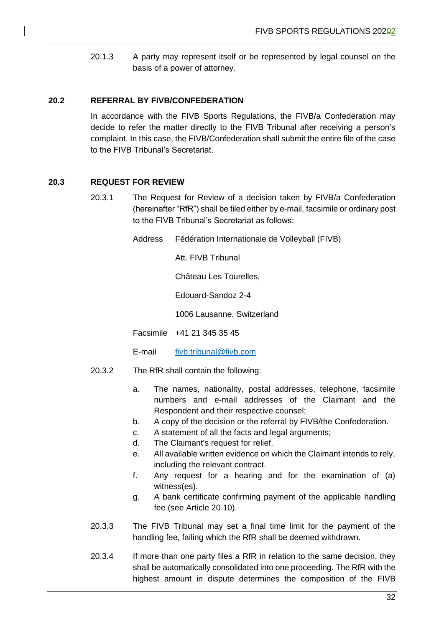20.1.3 A party may represent itself or be represented by legal counsel on the basis of a power of attorney.

#### **20.2 REFERRAL BY FIVB/CONFEDERATION**

In accordance with the FIVB Sports Regulations, the FIVB/a Confederation may decide to refer the matter directly to the FIVB Tribunal after receiving a person's complaint. In this case, the FIVB/Confederation shall submit the entire file of the case to the FIVB Tribunal's Secretariat.

#### **20.3 REQUEST FOR REVIEW**

- 20.3.1 The Request for Review of a decision taken by FIVB/a Confederation (hereinafter "RfR") shall be filed either by e-mail, facsimile or ordinary post to the FIVB Tribunal's Secretariat as follows:
	- Address Fédération Internationale de Volleyball (FIVB)

Att. FIVB Tribunal

Château Les Tourelles,

Edouard-Sandoz 2-4

1006 Lausanne, Switzerland

Facsimile +41 21 345 35 45

E-mail [fivb.tribunal@fivb.com](mailto:fivb.tribunal@fivb.com)

- 20.3.2 The RfR shall contain the following:
	- a. The names, nationality, postal addresses, telephone, facsimile numbers and e-mail addresses of the Claimant and the Respondent and their respective counsel;
	- b. A copy of the decision or the referral by FIVB/the Confederation.
	- c. A statement of all the facts and legal arguments;
	- d. The Claimant's request for relief.
	- e. All available written evidence on which the Claimant intends to rely, including the relevant contract.
	- f. Any request for a hearing and for the examination of (a) witness(es).
	- g. A bank certificate confirming payment of the applicable handling fee (see Article 20.10).
- 20.3.3 The FIVB Tribunal may set a final time limit for the payment of the handling fee, failing which the RfR shall be deemed withdrawn.
- 20.3.4 If more than one party files a RfR in relation to the same decision, they shall be automatically consolidated into one proceeding. The RfR with the highest amount in dispute determines the composition of the FIVB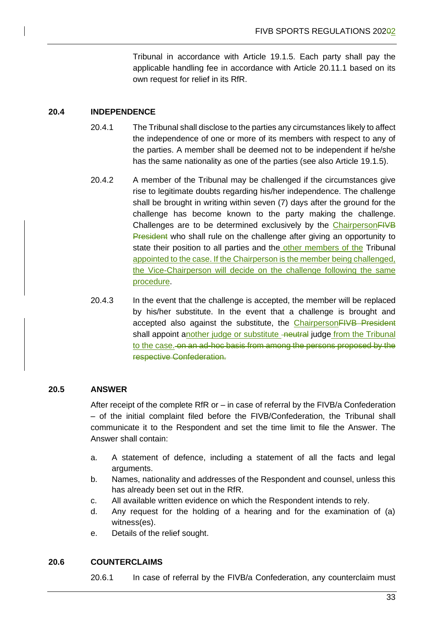Tribunal in accordance with Article 19.1.5. Each party shall pay the applicable handling fee in accordance with Article 20.11.1 based on its own request for relief in its RfR.

#### **20.4 INDEPENDENCE**

- 20.4.1 The Tribunal shall disclose to the parties any circumstances likely to affect the independence of one or more of its members with respect to any of the parties. A member shall be deemed not to be independent if he/she has the same nationality as one of the parties (see also Article 19.1.5).
- 20.4.2 A member of the Tribunal may be challenged if the circumstances give rise to legitimate doubts regarding his/her independence. The challenge shall be brought in writing within seven (7) days after the ground for the challenge has become known to the party making the challenge. Challenges are to be determined exclusively by the Chairperson FIVB **President** who shall rule on the challenge after giving an opportunity to state their position to all parties and the other members of the Tribunal appointed to the case. If the Chairperson is the member being challenged, the Vice-Chairperson will decide on the challenge following the same procedure.
- 20.4.3 In the event that the challenge is accepted, the member will be replaced by his/her substitute. In the event that a challenge is brought and accepted also against the substitute, the Chairperson FIVB President shall appoint another judge or substitute neutral judge from the Tribunal to the case. on an ad-hoc basis from among the persons proposed by the respective Confederation.

#### **20.5 ANSWER**

After receipt of the complete RfR or – in case of referral by the FIVB/a Confederation – of the initial complaint filed before the FIVB/Confederation, the Tribunal shall communicate it to the Respondent and set the time limit to file the Answer. The Answer shall contain:

- a. A statement of defence, including a statement of all the facts and legal arguments.
- b. Names, nationality and addresses of the Respondent and counsel, unless this has already been set out in the RfR.
- c. All available written evidence on which the Respondent intends to rely.
- d. Any request for the holding of a hearing and for the examination of (a) witness(es).
- e. Details of the relief sought.

#### **20.6 COUNTERCLAIMS**

20.6.1 In case of referral by the FIVB/a Confederation, any counterclaim must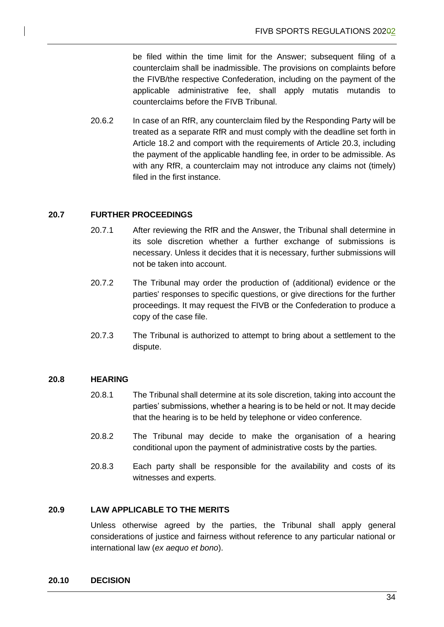be filed within the time limit for the Answer; subsequent filing of a counterclaim shall be inadmissible. The provisions on complaints before the FIVB/the respective Confederation, including on the payment of the applicable administrative fee, shall apply mutatis mutandis to counterclaims before the FIVB Tribunal.

20.6.2 In case of an RfR, any counterclaim filed by the Responding Party will be treated as a separate RfR and must comply with the deadline set forth in Article 18.2 and comport with the requirements of Article 20.3, including the payment of the applicable handling fee, in order to be admissible. As with any RfR, a counterclaim may not introduce any claims not (timely) filed in the first instance.

#### **20.7 FURTHER PROCEEDINGS**

- 20.7.1 After reviewing the RfR and the Answer, the Tribunal shall determine in its sole discretion whether a further exchange of submissions is necessary. Unless it decides that it is necessary, further submissions will not be taken into account.
- 20.7.2 The Tribunal may order the production of (additional) evidence or the parties' responses to specific questions, or give directions for the further proceedings. It may request the FIVB or the Confederation to produce a copy of the case file.
- 20.7.3 The Tribunal is authorized to attempt to bring about a settlement to the dispute.

#### **20.8 HEARING**

- 20.8.1 The Tribunal shall determine at its sole discretion, taking into account the parties' submissions, whether a hearing is to be held or not. It may decide that the hearing is to be held by telephone or video conference.
- 20.8.2 The Tribunal may decide to make the organisation of a hearing conditional upon the payment of administrative costs by the parties.
- 20.8.3 Each party shall be responsible for the availability and costs of its witnesses and experts.

#### **20.9 LAW APPLICABLE TO THE MERITS**

Unless otherwise agreed by the parties, the Tribunal shall apply general considerations of justice and fairness without reference to any particular national or international law (*ex aequo et bono*).

#### **20.10 DECISION**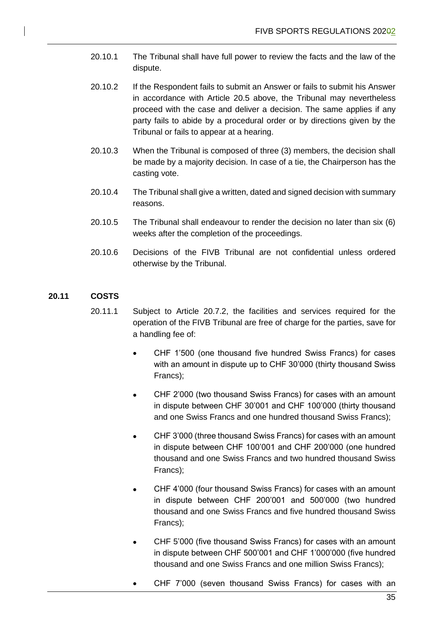- 20.10.1 The Tribunal shall have full power to review the facts and the law of the dispute.
- 20.10.2 If the Respondent fails to submit an Answer or fails to submit his Answer in accordance with Article 20.5 above, the Tribunal may nevertheless proceed with the case and deliver a decision. The same applies if any party fails to abide by a procedural order or by directions given by the Tribunal or fails to appear at a hearing.
- 20.10.3 When the Tribunal is composed of three (3) members, the decision shall be made by a majority decision. In case of a tie, the Chairperson has the casting vote.
- 20.10.4 The Tribunal shall give a written, dated and signed decision with summary reasons.
- 20.10.5 The Tribunal shall endeavour to render the decision no later than six (6) weeks after the completion of the proceedings.
- 20.10.6 Decisions of the FIVB Tribunal are not confidential unless ordered otherwise by the Tribunal.

#### **20.11 COSTS**

- 20.11.1 Subject to Article 20.7.2, the facilities and services required for the operation of the FIVB Tribunal are free of charge for the parties, save for a handling fee of:
	- CHF 1'500 (one thousand five hundred Swiss Francs) for cases with an amount in dispute up to CHF 30'000 (thirty thousand Swiss Francs);
	- CHF 2'000 (two thousand Swiss Francs) for cases with an amount in dispute between CHF 30'001 and CHF 100'000 (thirty thousand and one Swiss Francs and one hundred thousand Swiss Francs);
	- CHF 3'000 (three thousand Swiss Francs) for cases with an amount in dispute between CHF 100'001 and CHF 200'000 (one hundred thousand and one Swiss Francs and two hundred thousand Swiss Francs);
	- CHF 4'000 (four thousand Swiss Francs) for cases with an amount in dispute between CHF 200'001 and 500'000 (two hundred thousand and one Swiss Francs and five hundred thousand Swiss Francs);
	- CHF 5'000 (five thousand Swiss Francs) for cases with an amount in dispute between CHF 500'001 and CHF 1'000'000 (five hundred thousand and one Swiss Francs and one million Swiss Francs);
	- CHF 7'000 (seven thousand Swiss Francs) for cases with an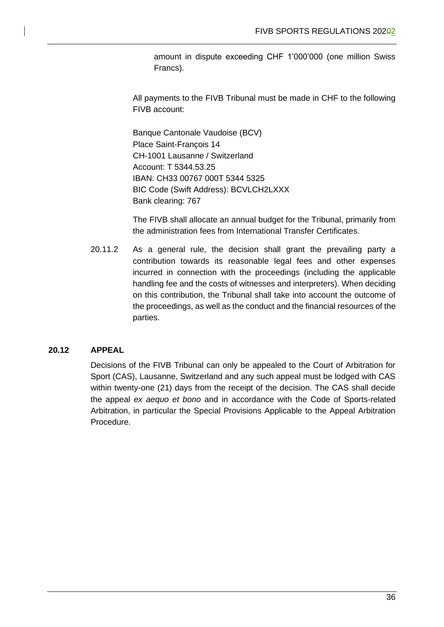amount in dispute exceeding CHF 1'000'000 (one million Swiss Francs).

All payments to the FIVB Tribunal must be made in CHF to the following FIVB account:

Banque Cantonale Vaudoise (BCV) Place Saint-François 14 CH-1001 Lausanne / Switzerland Account: T 5344.53.25 IBAN: CH33 00767 000T 5344 5325 BIC Code (Swift Address): BCVLCH2LXXX Bank clearing: 767

The FIVB shall allocate an annual budget for the Tribunal, primarily from the administration fees from International Transfer Certificates.

20.11.2 As a general rule, the decision shall grant the prevailing party a contribution towards its reasonable legal fees and other expenses incurred in connection with the proceedings (including the applicable handling fee and the costs of witnesses and interpreters). When deciding on this contribution, the Tribunal shall take into account the outcome of the proceedings, as well as the conduct and the financial resources of the parties.

#### **20.12 APPEAL**

Decisions of the FIVB Tribunal can only be appealed to the Court of Arbitration for Sport (CAS), Lausanne, Switzerland and any such appeal must be lodged with CAS within twenty-one (21) days from the receipt of the decision. The CAS shall decide the appeal *ex aequo et bono* and in accordance with the Code of Sports-related Arbitration, in particular the Special Provisions Applicable to the Appeal Arbitration Procedure.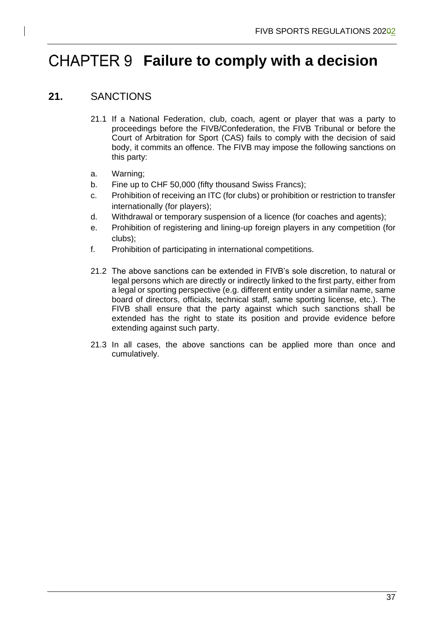## <span id="page-39-0"></span>**CHAPTER 9 Failure to comply with a decision**

### <span id="page-39-1"></span>**21.** SANCTIONS

- 21.1 If a National Federation, club, coach, agent or player that was a party to proceedings before the FIVB/Confederation, the FIVB Tribunal or before the Court of Arbitration for Sport (CAS) fails to comply with the decision of said body, it commits an offence. The FIVB may impose the following sanctions on this party:
- a. Warning;
- b. Fine up to CHF 50,000 (fifty thousand Swiss Francs);
- c. Prohibition of receiving an ITC (for clubs) or prohibition or restriction to transfer internationally (for players);
- d. Withdrawal or temporary suspension of a licence (for coaches and agents);
- e. Prohibition of registering and lining-up foreign players in any competition (for clubs);
- f. Prohibition of participating in international competitions.
- 21.2 The above sanctions can be extended in FIVB's sole discretion, to natural or legal persons which are directly or indirectly linked to the first party, either from a legal or sporting perspective (e.g. different entity under a similar name, same board of directors, officials, technical staff, same sporting license, etc.). The FIVB shall ensure that the party against which such sanctions shall be extended has the right to state its position and provide evidence before extending against such party.
- 21.3 In all cases, the above sanctions can be applied more than once and cumulatively.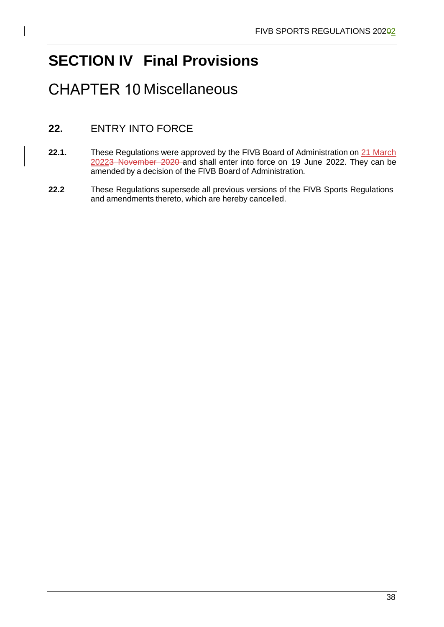## <span id="page-40-0"></span>**SECTION IV Final Provisions**

## <span id="page-40-1"></span>**CHAPTER 10 Miscellaneous**

## <span id="page-40-2"></span>**22.** ENTRY INTO FORCE

- **22.1.** These Regulations were approved by the FIVB Board of Administration on 21 March 20223 November 2020 and shall enter into force on 19 June 2022. They can be amended by a decision of the FIVB Board of Administration.
- **22.2** These Regulations supersede all previous versions of the FIVB Sports Regulations and amendments thereto, which are hereby cancelled.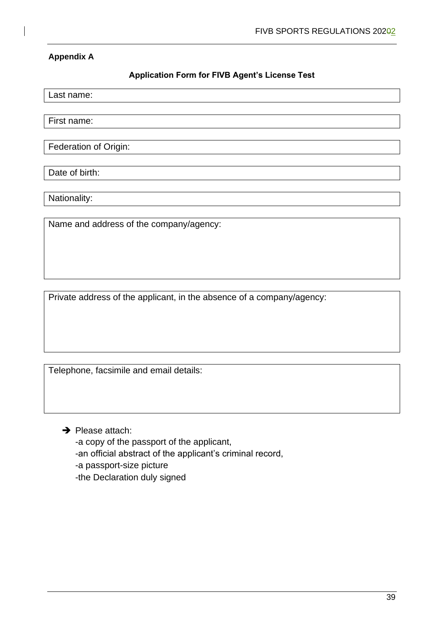#### **Appendix A**

#### **Application Form for FIVB Agent's License Test**

Last name:

First name:

Federation of Origin:

Date of birth:

Nationality:

Name and address of the company/agency:

Private address of the applicant, in the absence of a company/agency:

Telephone, facsimile and email details:

**→** Please attach:

-a copy of the passport of the applicant,

-an official abstract of the applicant's criminal record,

-a passport-size picture

-the Declaration duly signed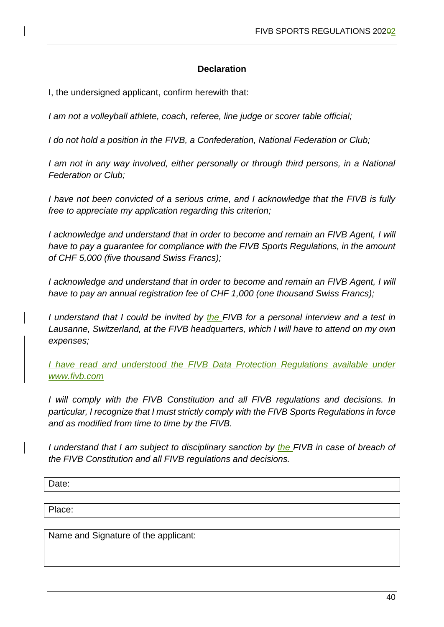### **Declaration**

I, the undersigned applicant, confirm herewith that:

*I am not a volleyball athlete, coach, referee, line judge or scorer table official;*

*I do not hold a position in the FIVB, a Confederation, National Federation or Club;*

*I am not in any way involved, either personally or through third persons, in a National Federation or Club;*

*I have not been convicted of a serious crime, and I acknowledge that the FIVB is fully free to appreciate my application regarding this criterion;*

*I acknowledge and understand that in order to become and remain an FIVB Agent, I will have to pay a guarantee for compliance with the FIVB Sports Regulations, in the amount of CHF 5,000 (five thousand Swiss Francs);*

*I acknowledge and understand that in order to become and remain an FIVB Agent, I will have to pay an annual registration fee of CHF 1,000 (one thousand Swiss Francs);*

*I* understand that I could be invited by the FIVB for a personal interview and a test in *Lausanne, Switzerland, at the FIVB headquarters, which I will have to attend on my own expenses;*

*I have read and understood the FIVB Data Protection Requlations available under www.fivb.com*

*I will comply with the FIVB Constitution and all FIVB regulations and decisions. In particular, I recognize that I must strictly comply with the FIVB Sports Regulations in force and as modified from time to time by the FIVB.*

*I understand that I am subject to disciplinary sanction by the FIVB in case of breach of the FIVB Constitution and all FIVB regulations and decisions.* 

Date:

Place:

Name and Signature of the applicant: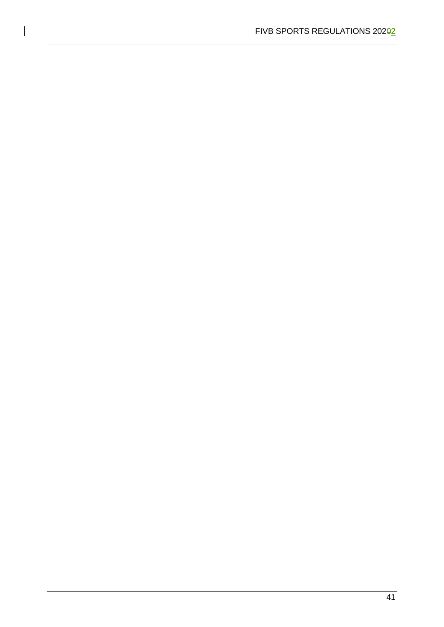$\overline{\phantom{a}}$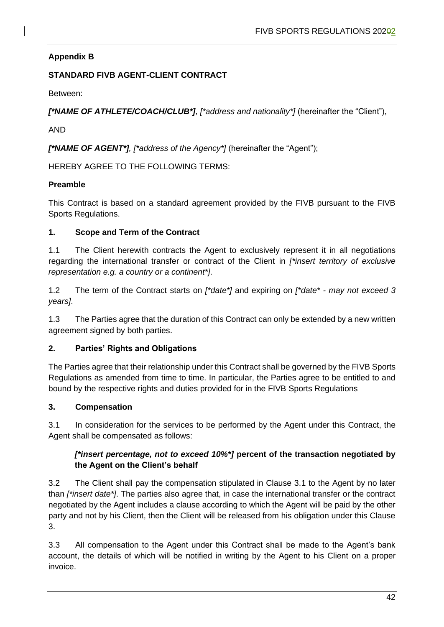### **Appendix B**

### **STANDARD FIVB AGENT-CLIENT CONTRACT**

Between:

*[\*NAME OF ATHLETE/COACH/CLUB\*], [\*address and nationality\*]* (hereinafter the "Client"),

AND

*[\*NAME OF AGENT\*], [\*address of the Agency\*]* (hereinafter the "Agent");

HEREBY AGREE TO THE FOLLOWING TERMS:

### **Preamble**

This Contract is based on a standard agreement provided by the FIVB pursuant to the FIVB Sports Regulations.

### **1. Scope and Term of the Contract**

1.1 The Client herewith contracts the Agent to exclusively represent it in all negotiations regarding the international transfer or contract of the Client in *[\*insert territory of exclusive representation e.g. a country or a continent\*]*.

1.2 The term of the Contract starts on *[\*date\*]* and expiring on *[\*date\* - may not exceed 3 years]*.

1.3 The Parties agree that the duration of this Contract can only be extended by a new written agreement signed by both parties.

### **2. Parties' Rights and Obligations**

The Parties agree that their relationship under this Contract shall be governed by the FIVB Sports Regulations as amended from time to time. In particular, the Parties agree to be entitled to and bound by the respective rights and duties provided for in the FIVB Sports Regulations

### **3. Compensation**

3.1 In consideration for the services to be performed by the Agent under this Contract, the Agent shall be compensated as follows:

#### *[\*insert percentage, not to exceed 10%\*]* **percent of the transaction negotiated by the Agent on the Client's behalf**

3.2 The Client shall pay the compensation stipulated in Clause 3.1 to the Agent by no later than *[\*insert date\*]*. The parties also agree that, in case the international transfer or the contract negotiated by the Agent includes a clause according to which the Agent will be paid by the other party and not by his Client, then the Client will be released from his obligation under this Clause 3.

3.3 All compensation to the Agent under this Contract shall be made to the Agent's bank account, the details of which will be notified in writing by the Agent to his Client on a proper invoice.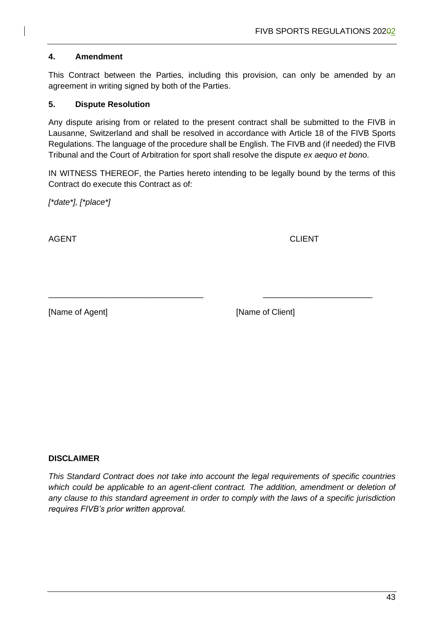#### **4. Amendment**

This Contract between the Parties, including this provision, can only be amended by an agreement in writing signed by both of the Parties.

#### **5. Dispute Resolution**

Any dispute arising from or related to the present contract shall be submitted to the FIVB in Lausanne, Switzerland and shall be resolved in accordance with Article 18 of the FIVB Sports Regulations. The language of the procedure shall be English. The FIVB and (if needed) the FIVB Tribunal and the Court of Arbitration for sport shall resolve the dispute *ex aequo et bono*.

IN WITNESS THEREOF, the Parties hereto intending to be legally bound by the terms of this Contract do execute this Contract as of:

\_\_\_\_\_\_\_\_\_\_\_\_\_\_\_\_\_\_\_\_\_\_\_\_\_\_\_\_\_\_\_\_\_\_ \_\_\_\_\_\_\_\_\_\_\_\_\_\_\_\_\_\_\_\_\_\_\_\_

*[\*date\*], [\*place\*]*

AGENT CLIENT

[Name of Agent] [Name of Client]

#### **DISCLAIMER**

*This Standard Contract does not take into account the legal requirements of specific countries*  which could be applicable to an agent-client contract. The addition, amendment or deletion of *any clause to this standard agreement in order to comply with the laws of a specific jurisdiction requires FIVB's prior written approval.*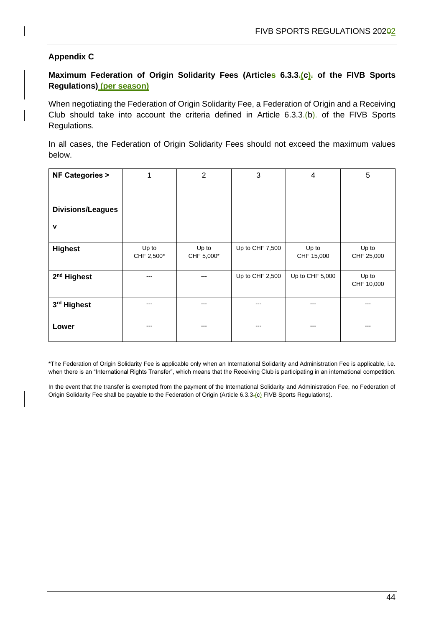#### **Appendix C**

#### **Maximum Federation of Origin Solidarity Fees (Articles 6.3.3.(c). of the FIVB Sports Regulations) (per season)**

When negotiating the Federation of Origin Solidarity Fee, a Federation of Origin and a Receiving Club should take into account the criteria defined in Article  $6.3.3-(b)$ . of the FIVB Sports Regulations.

In all cases, the Federation of Origin Solidarity Fees should not exceed the maximum values below.

| <b>NF Categories &gt;</b>               | 1                   | $\overline{2}$      | 3               | 4                   | 5                   |
|-----------------------------------------|---------------------|---------------------|-----------------|---------------------|---------------------|
| <b>Divisions/Leagues</b><br>$\mathbf v$ |                     |                     |                 |                     |                     |
|                                         |                     |                     |                 |                     |                     |
| <b>Highest</b>                          | Up to<br>CHF 2,500* | Up to<br>CHF 5,000* | Up to CHF 7,500 | Up to<br>CHF 15,000 | Up to<br>CHF 25,000 |
| 2 <sup>nd</sup> Highest                 |                     |                     | Up to CHF 2,500 | Up to CHF 5,000     | Up to<br>CHF 10,000 |
| 3rd Highest                             | ---                 | $---$               | ---             |                     | ---                 |
| Lower                                   |                     | ---                 |                 |                     |                     |

\*The Federation of Origin Solidarity Fee is applicable only when an International Solidarity and Administration Fee is applicable, i.e. when there is an "International Rights Transfer", which means that the Receiving Club is participating in an international competition.

In the event that the transfer is exempted from the payment of the International Solidarity and Administration Fee, no Federation of Origin Solidarity Fee shall be payable to the Federation of Origin (Article 6.3.3.(c) FIVB Sports Regulations).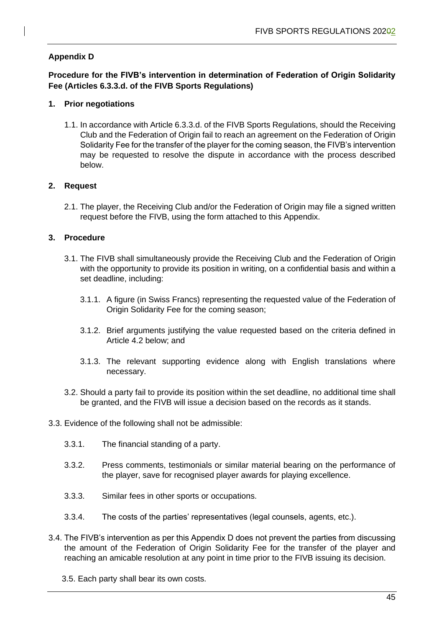#### **Appendix D**

**Procedure for the FIVB's intervention in determination of Federation of Origin Solidarity Fee (Articles 6.3.3.d. of the FIVB Sports Regulations)**

#### **1. Prior negotiations**

1.1. In accordance with Article 6.3.3.d. of the FIVB Sports Regulations, should the Receiving Club and the Federation of Origin fail to reach an agreement on the Federation of Origin Solidarity Fee for the transfer of the player for the coming season, the FIVB's intervention may be requested to resolve the dispute in accordance with the process described below.

#### **2. Request**

2.1. The player, the Receiving Club and/or the Federation of Origin may file a signed written request before the FIVB, using the form attached to this Appendix.

#### **3. Procedure**

- 3.1. The FIVB shall simultaneously provide the Receiving Club and the Federation of Origin with the opportunity to provide its position in writing, on a confidential basis and within a set deadline, including:
	- 3.1.1. A figure (in Swiss Francs) representing the requested value of the Federation of Origin Solidarity Fee for the coming season;
	- 3.1.2. Brief arguments justifying the value requested based on the criteria defined in Article 4.2 below; and
	- 3.1.3. The relevant supporting evidence along with English translations where necessary.
- 3.2. Should a party fail to provide its position within the set deadline, no additional time shall be granted, and the FIVB will issue a decision based on the records as it stands.
- 3.3. Evidence of the following shall not be admissible:
	- 3.3.1. The financial standing of a party.
	- 3.3.2. Press comments, testimonials or similar material bearing on the performance of the player, save for recognised player awards for playing excellence.
	- 3.3.3. Similar fees in other sports or occupations.
	- 3.3.4. The costs of the parties' representatives (legal counsels, agents, etc.).
- 3.4. The FIVB's intervention as per this Appendix D does not prevent the parties from discussing the amount of the Federation of Origin Solidarity Fee for the transfer of the player and reaching an amicable resolution at any point in time prior to the FIVB issuing its decision.
	- 3.5. Each party shall bear its own costs.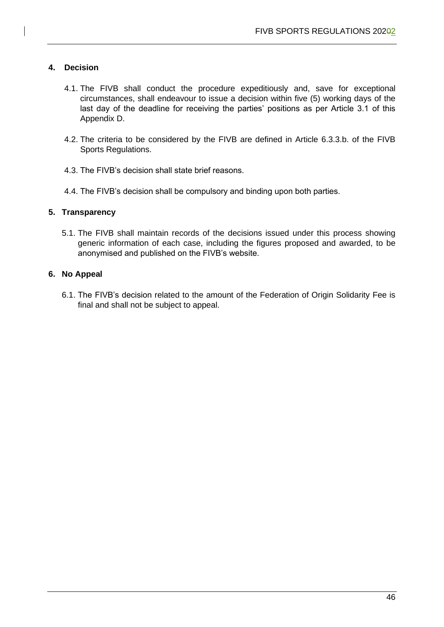#### **4. Decision**

- 4.1. The FIVB shall conduct the procedure expeditiously and, save for exceptional circumstances, shall endeavour to issue a decision within five (5) working days of the last day of the deadline for receiving the parties' positions as per Article 3.1 of this Appendix D.
- 4.2. The criteria to be considered by the FIVB are defined in Article 6.3.3.b. of the FIVB Sports Regulations.
- 4.3. The FIVB's decision shall state brief reasons.
- 4.4. The FIVB's decision shall be compulsory and binding upon both parties.

#### **5. Transparency**

5.1. The FIVB shall maintain records of the decisions issued under this process showing generic information of each case, including the figures proposed and awarded, to be anonymised and published on the FIVB's website.

#### **6. No Appeal**

6.1. The FIVB's decision related to the amount of the Federation of Origin Solidarity Fee is final and shall not be subject to appeal.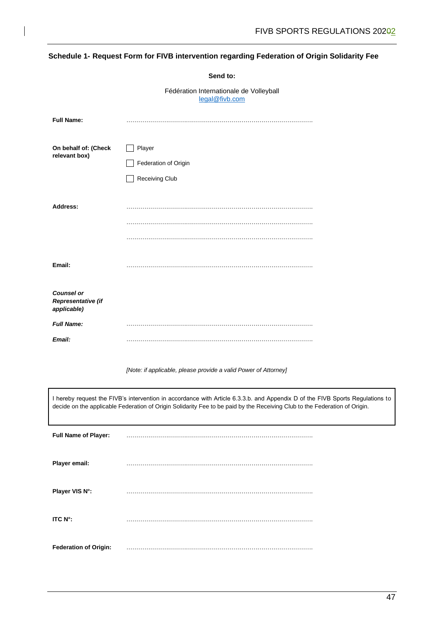### **Schedule 1- Request Form for FIVB intervention regarding Federation of Origin Solidarity Fee**

**Send to:**

|                                                                                                                                                                                                                                                             | Fédération Internationale de Volleyball<br>legal@fivb.com       |  |  |
|-------------------------------------------------------------------------------------------------------------------------------------------------------------------------------------------------------------------------------------------------------------|-----------------------------------------------------------------|--|--|
| <b>Full Name:</b>                                                                                                                                                                                                                                           |                                                                 |  |  |
| On behalf of: (Check<br>relevant box)                                                                                                                                                                                                                       | Player                                                          |  |  |
|                                                                                                                                                                                                                                                             | Federation of Origin<br>Receiving Club                          |  |  |
| <b>Address:</b>                                                                                                                                                                                                                                             |                                                                 |  |  |
|                                                                                                                                                                                                                                                             |                                                                 |  |  |
| Email:                                                                                                                                                                                                                                                      |                                                                 |  |  |
| <b>Counsel or</b><br>Representative (if<br>applicable)                                                                                                                                                                                                      |                                                                 |  |  |
| <b>Full Name:</b>                                                                                                                                                                                                                                           |                                                                 |  |  |
| Email:                                                                                                                                                                                                                                                      |                                                                 |  |  |
|                                                                                                                                                                                                                                                             | [Note: if applicable, please provide a valid Power of Attorney] |  |  |
| I hereby request the FIVB's intervention in accordance with Article 6.3.3.b. and Appendix D of the FIVB Sports Regulations to<br>decide on the applicable Federation of Origin Solidarity Fee to be paid by the Receiving Club to the Federation of Origin. |                                                                 |  |  |
| Full Name of Player:                                                                                                                                                                                                                                        |                                                                 |  |  |
| Player email:                                                                                                                                                                                                                                               |                                                                 |  |  |
| Player VIS N°:                                                                                                                                                                                                                                              |                                                                 |  |  |
| ITC N°:                                                                                                                                                                                                                                                     |                                                                 |  |  |
| <b>Federation of Origin:</b>                                                                                                                                                                                                                                |                                                                 |  |  |